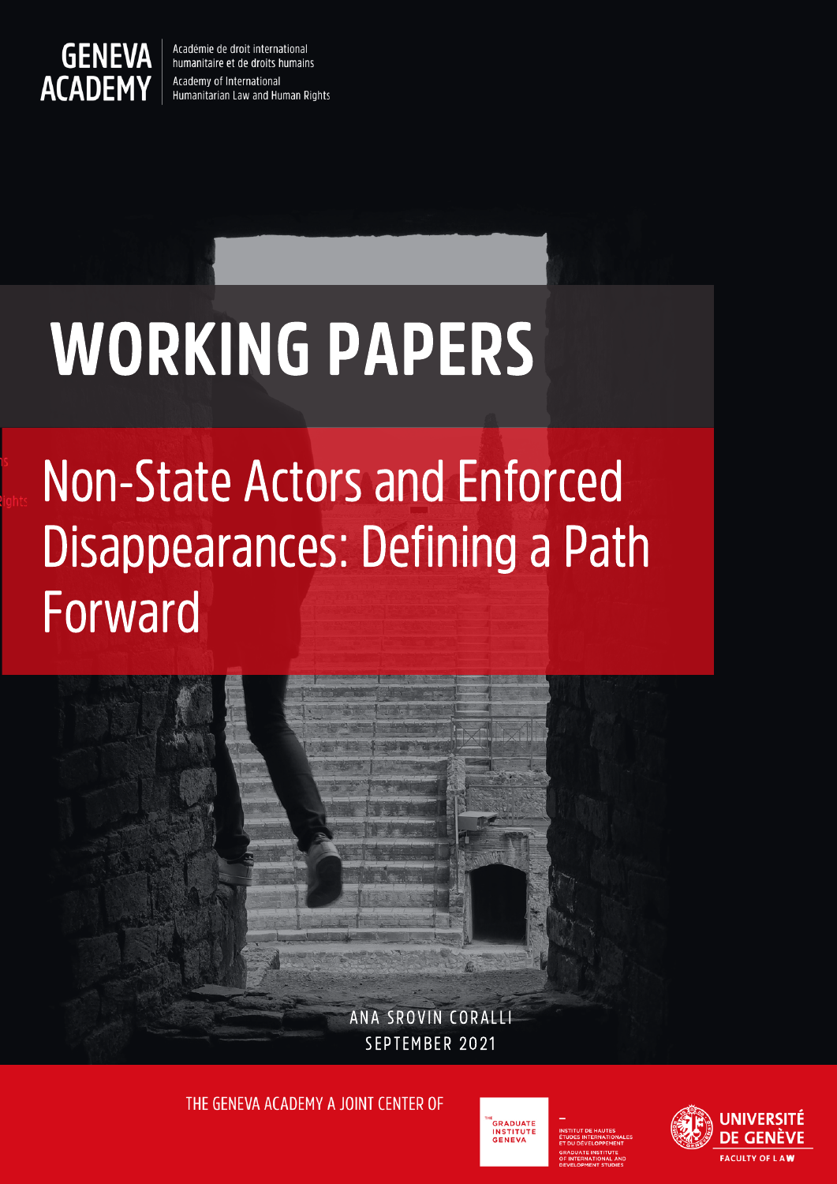

Académie de droit international humanitaire et de droits humains Academy of International Humanitarian Law and Human Rights

# WORKING PAPERS

## Non-State Actors and Enforced Disappearances: Defining a Path Forward



THE GENEVA ACADEMY A JOINT CENTER OF



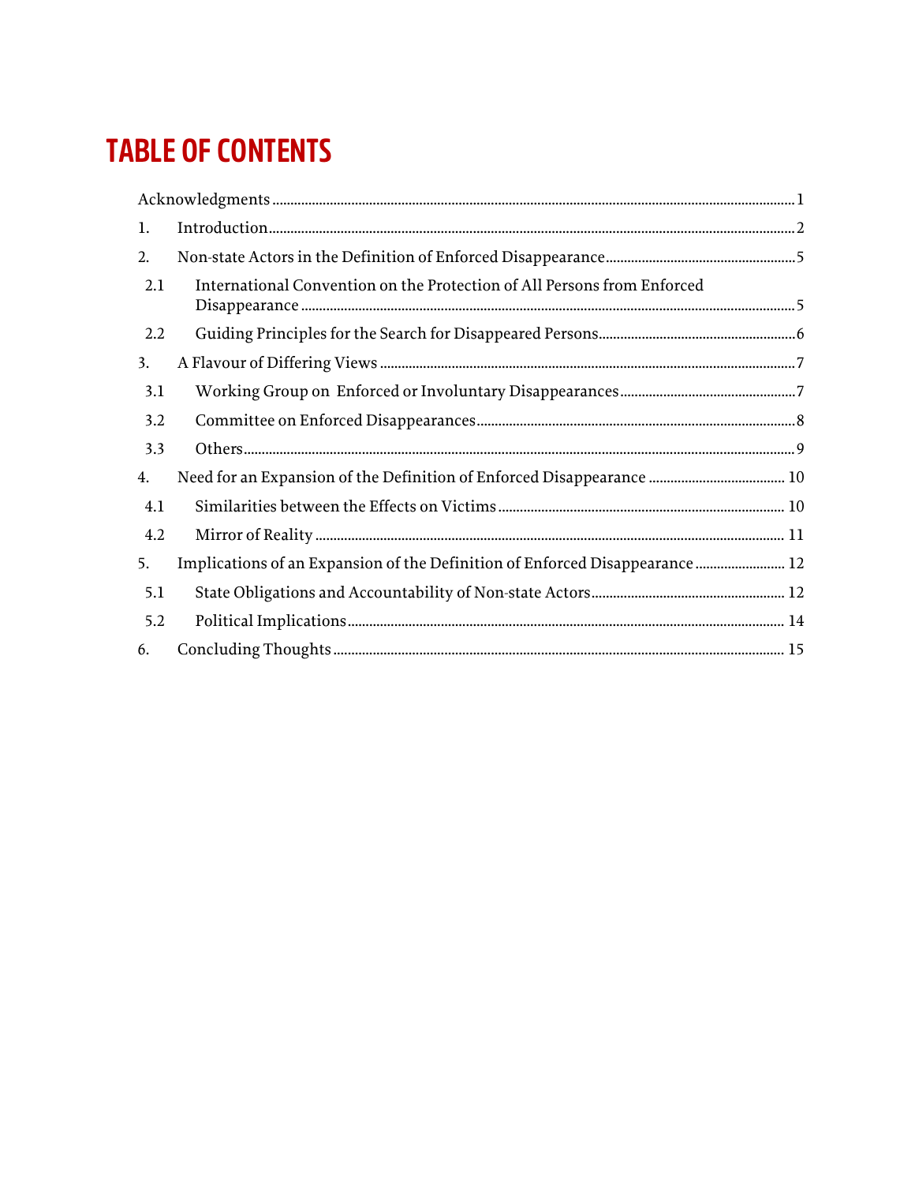## **TABLE OF CONTENTS**

| 1.  |                                                                              |  |
|-----|------------------------------------------------------------------------------|--|
| 2.  |                                                                              |  |
| 2.1 | International Convention on the Protection of All Persons from Enforced      |  |
| 2.2 |                                                                              |  |
| 3.  |                                                                              |  |
| 3.1 |                                                                              |  |
| 3.2 |                                                                              |  |
| 3.3 |                                                                              |  |
| 4.  |                                                                              |  |
| 4.1 |                                                                              |  |
| 4.2 |                                                                              |  |
| 5.  | Implications of an Expansion of the Definition of Enforced Disappearance  12 |  |
| 5.1 |                                                                              |  |
| 5.2 |                                                                              |  |
| 6.  |                                                                              |  |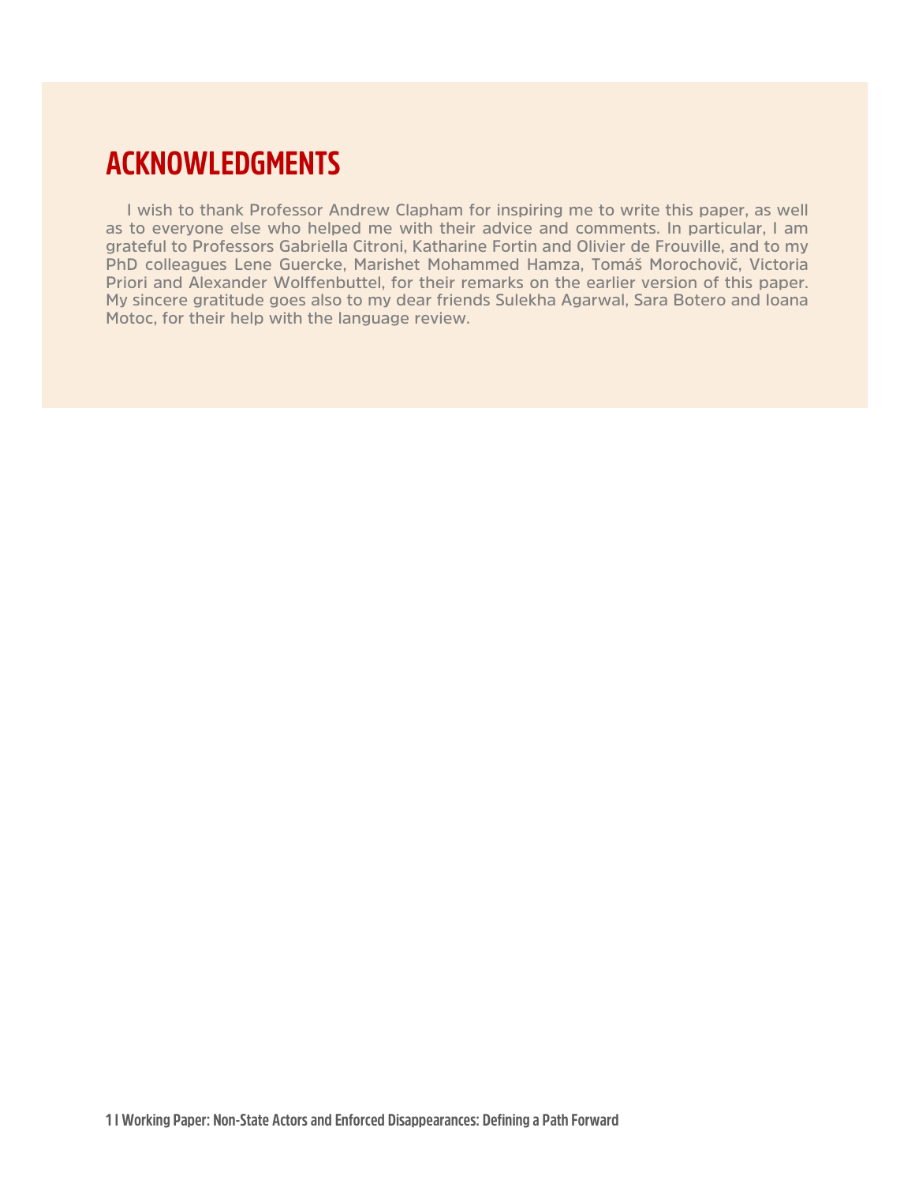### <span id="page-2-0"></span>**ACKNOWLEDGMENTS**

**I wish to thank Professor Andrew Clapham for inspiring me to write this paper, as well as to everyone else who helped me with their advice and comments. In particular, I am grateful to Professors Gabriella Citroni, Katharine Fortin and Olivier de Frouville, and to my PhD colleagues Lene Guercke, Marishet Mohammed Hamza, Tomáš Morochovič, Victoria Priori and Alexander Wolffenbuttel, for their remarks on the earlier version of this paper. My sincere gratitude goes also to my dear friends Sulekha Agarwal, Sara Botero and Ioana Motoc, for their help with the language review.**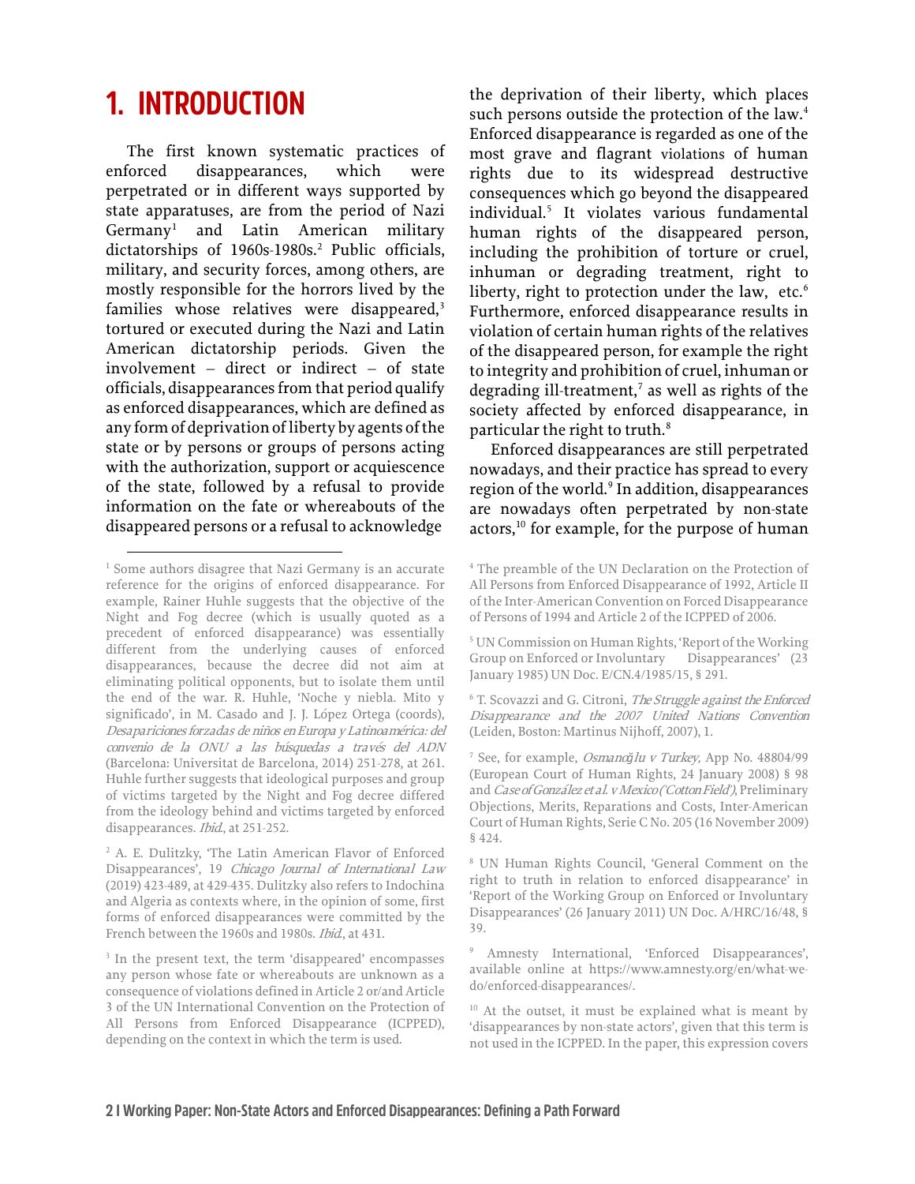## <span id="page-3-0"></span>**1. INTRODUCTION**

The first known systematic practices of enforced disappearances, which were perpetrated or in different ways supported by state apparatuses, are from the period of Nazi Germany[1](#page-3-1) and Latin American military dictatorships of 1960s-1980s.<sup>2</sup> Public officials, military, and security forces, among others, are mostly responsible for the horrors lived by the families whose relatives were disappeared, $3$ tortured or executed during the Nazi and Latin American dictatorship periods. Given the involvement – direct or indirect – of state officials, disappearances from that period qualify as enforced disappearances, which are defined as any form of deprivationof liberty by agents of the state or by persons or groups of persons acting with the authorization, support or acquiescence of the state, followed by a refusal to provide information on the fate or whereabouts of the disappeared persons or a refusal to acknowledge

the deprivation of their liberty, which places such persons outside the protection of the law.<sup>[4](#page-3-1)</sup> Enforced disappearance is regarded as one of the most grave and flagrant violations of human rights due to its widespread destructive consequences which go beyond the disappeared individual.[5](#page-3-4) It violates various fundamental human rights of the disappeared person, including the prohibition of torture or cruel, inhuman or degrading treatment, right to liberty, right to protection under the law, etc. $6$ Furthermore, enforced disappearance results in violation of certain human rights of the relatives of the disappeared person, for example the right to integrity and prohibition of cruel, inhuman or degrading ill-treatment, $\overline{a}$  as well as rights of the society affected by enforced disappearance, in particular the right to truth.<sup>[8](#page-3-7)</sup>

Enforced disappearances are still perpetrated nowadays, and their practice has spread to every region of the world.<sup>[9](#page-3-8)</sup> In addition, disappearances are nowadays often perpetrated by non-state  $\alpha$  actors,<sup>10</sup> for example, for the purpose of human

<span id="page-3-5"></span><span id="page-3-4"></span><span id="page-3-1"></span><sup>&</sup>lt;sup>1</sup> Some authors disagree that Nazi Germany is an accurate reference for the origins of enforced disappearance. For example, Rainer Huhle suggests that the objective of the Night and Fog decree (which is usually quoted as a precedent of enforced disappearance) was essentially different from the underlying causes of enforced disappearances, because the decree did not aim at eliminating political opponents, but to isolate them until the end of the war. R. Huhle, 'Noche y niebla. Mito y significado', in M. Casado and J. J. López Ortega (coords), Desapariciones forzadas de niños en Europa y Latinoamérica: del convenio de la ONU a las búsquedas a través del ADN (Barcelona: Universitat de Barcelona, 2014) 251-278, at 261. Huhle further suggests that ideological purposes and group of victims targeted by the Night and Fog decree differed from the ideology behind and victims targeted by enforced disappearances. *Ibid.*, at 251-252.

<span id="page-3-7"></span><span id="page-3-6"></span><span id="page-3-2"></span><sup>2</sup> A. E. Dulitzky, 'The Latin American Flavor of Enforced Disappearances', 19 Chicago Journal of International Law (2019) 423-489, at 429-435. Dulitzky also refers to Indochina and Algeria as contexts where, in the opinion of some, first forms of enforced disappearances were committed by the French between the 1960s and 1980s. Ibid., at 431.

<span id="page-3-9"></span><span id="page-3-8"></span><span id="page-3-3"></span><sup>&</sup>lt;sup>3</sup> In the present text, the term 'disappeared' encompasses any person whose fate or whereabouts are unknown as a consequence of violations defined in Article 2 or/and Article 3 of the UN International Convention on the Protection of All Persons from Enforced Disappearance (ICPPED), depending on the context in which the term is used.

<sup>4</sup> The preamble of the UN Declaration on the Protection of All Persons from Enforced Disappearance of 1992, Article II of the Inter-American Convention on Forced Disappearance of Persons of 1994 and Article 2 of the ICPPED of 2006.

<sup>5</sup> UN Commission on Human Rights, 'Report of the Working Group on Enforced or Involuntary Disappearances' (23 January 1985) UN Doc. E/CN.4/1985/15, § 291.

<sup>&</sup>lt;sup>6</sup> T. Scovazzi and G. Citroni, The Struggle against the Enforced Disappearance and the 2007 United Nations Convention (Leiden, Boston: Martinus Nijhoff, 2007), 1.

<sup>7</sup> See, for example, Osmano*ğ*lu v Turkey, App No. 48804/99 (European Court of Human Rights, 24 January 2008) § 98 and Case of González et al. v Mexico ('Cotton Field'), Preliminary Objections, Merits, Reparations and Costs, Inter-American Court of Human Rights, Serie C No. 205 (16 November 2009) § 424.

<sup>8</sup> UN Human Rights Council, 'General Comment on the right to truth in relation to enforced disappearance' in 'Report of the Working Group on Enforced or Involuntary Disappearances' (26 January 2011) UN Doc. A/HRC/16/48, § 39.

<sup>9</sup> Amnesty International, 'Enforced Disappearances', available online at [https://www.amnesty.org/en/what-we](https://www.amnesty.org/en/what-we-do/enforced-disappearances/)[do/enforced-disappearances/.](https://www.amnesty.org/en/what-we-do/enforced-disappearances/) 

<sup>10</sup> At the outset, it must be explained what is meant by 'disappearances by non-state actors', given that this term is not used in the ICPPED. In the paper, this expression covers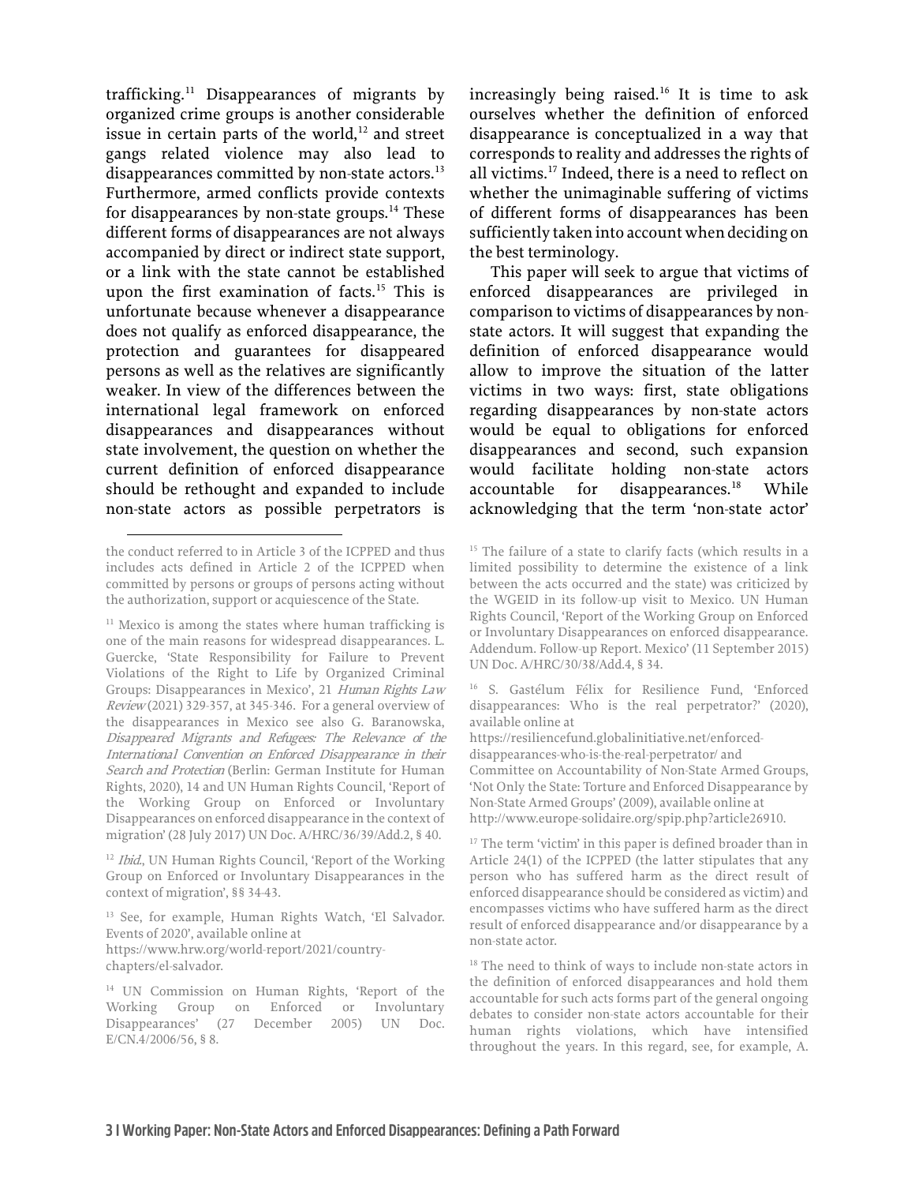trafficking. $11$  Disappearances of migrants by organized crime groups is another considerable issue in certain parts of the world, $12$  and street gangs related violence may also lead to disappearances committed by non-state actors.<sup>[13](#page-4-2)</sup> Furthermore, armed conflicts provide contexts for disappearances by non-state groups. $14$  These different forms of disappearances are not always accompanied by direct or indirect state support, or a link with the state cannot be established upon the first examination of facts.<sup>[15](#page-4-4)</sup> This is unfortunate because whenever a disappearance does not qualify as enforced disappearance, the protection and guarantees for disappeared persons as well as the relatives are significantly weaker. In view of the differences between the international legal framework on enforced disappearances and disappearances without state involvement, the question on whether the current definition of enforced disappearance should be rethought and expanded to include non-state actors as possible perpetrators is

increasingly being raised.<sup>[16](#page-4-5)</sup> It is time to ask ourselves whether the definition of enforced disappearance is conceptualized in a way that corresponds to reality and addresses the rights of all victims.[17](#page-4-6) Indeed, there is a need to reflect on whether the unimaginable suffering of victims of different forms of disappearances has been sufficiently taken into account when deciding on the best terminology.

This paper will seek to argue that victims of enforced disappearances are privileged in comparison to victims of disappearances by nonstate actors. It will suggest that expanding the definition of enforced disappearance would allow to improve the situation of the latter victims in two ways: first, state obligations regarding disappearances by non-state actors would be equal to obligations for enforced disappearances and second, such expansion would facilitate holding non-state actors  $accountable$  for disappearances.<sup>[18](#page-4-7)</sup> While acknowledging that the term 'non-state actor'

<sup>16</sup> S. Gastélum Félix for Resilience Fund, 'Enforced disappearances: Who is the real perpetrator?' (2020), available online at

<span id="page-4-4"></span>the conduct referred to in Article 3 of the ICPPED and thus includes acts defined in Article 2 of the ICPPED when committed by persons or groups of persons acting without the authorization, support or acquiescence of the State.

<span id="page-4-5"></span><span id="page-4-0"></span><sup>&</sup>lt;sup>11</sup> Mexico is among the states where human trafficking is one of the main reasons for widespread disappearances. L. Guercke, 'State Responsibility for Failure to Prevent Violations of the Right to Life by Organized Criminal Groups: Disappearances in Mexico', 21 Human Rights Law Review (2021) 329-357, at 345-346. For a general overview of the disappearances in Mexico see also G. Baranowska, Disappeared Migrants and Refugees: The Relevance of the International Convention on Enforced Disappearance in their Search and Protection (Berlin: German Institute for Human Rights, 2020), 14 and UN Human Rights Council, 'Report of the Working Group on Enforced or Involuntary Disappearances on enforced disappearance in the context of migration' (28 July 2017) UN Doc. A/HRC/36/39/Add.2, § 40.

<span id="page-4-6"></span><span id="page-4-1"></span><sup>&</sup>lt;sup>12</sup> Ibid., UN Human Rights Council, 'Report of the Working Group on Enforced or Involuntary Disappearances in the context of migration', §§ 34-43.

<span id="page-4-2"></span><sup>13</sup> See, for example, Human Rights Watch, 'El Salvador. Events of 2020', available online at [https://www.hrw.org/world-report/2021/country](https://www.hrw.org/world-report/2021/country-chapters/el-salvador)[chapters/el-salvador.](https://www.hrw.org/world-report/2021/country-chapters/el-salvador) 

<span id="page-4-7"></span><span id="page-4-3"></span><sup>14</sup> UN Commission on Human Rights, 'Report of the Working Group on Enforced or Involuntary Disappearances' (27 December 2005) UN Doc. E/CN.4/2006/56, § 8.

<sup>&</sup>lt;sup>15</sup> The failure of a state to clarify facts (which results in a limited possibility to determine the existence of a link between the acts occurred and the state) was criticized by the WGEID in its follow-up visit to Mexico. UN Human Rights Council, 'Report of the Working Group on Enforced or Involuntary Disappearances on enforced disappearance. Addendum. Follow-up Report. Mexico' (11 September 2015) UN Doc. A/HRC/30/38/Add.4, § 34.

[https://resiliencefund.globalinitiative.net/enforced](https://resiliencefund.globalinitiative.net/enforced-disappearances-who-is-the-real-perpetrator/)[disappearances-who-is-the-real-perpetrator/](https://resiliencefund.globalinitiative.net/enforced-disappearances-who-is-the-real-perpetrator/) and Committee on Accountability of Non-State Armed Groups, 'Not Only the State: Torture and Enforced Disappearance by Non-State Armed Groups' (2009), available online at [http://www.europe-solidaire.org/spip.php?article26910.](http://www.europe-solidaire.org/spip.php?article26910)

<sup>&</sup>lt;sup>17</sup> The term 'victim' in this paper is defined broader than in Article 24(1) of the ICPPED (the latter stipulates that any person who has suffered harm as the direct result of enforced disappearance should be considered as victim) and encompasses victims who have suffered harm as the direct result of enforced disappearance and/or disappearance by a non-state actor.

<sup>&</sup>lt;sup>18</sup> The need to think of ways to include non-state actors in the definition of enforced disappearances and hold them accountable for such acts forms part of the general ongoing debates to consider non-state actors accountable for their human rights violations, which have intensified throughout the years. In this regard, see, for example, A.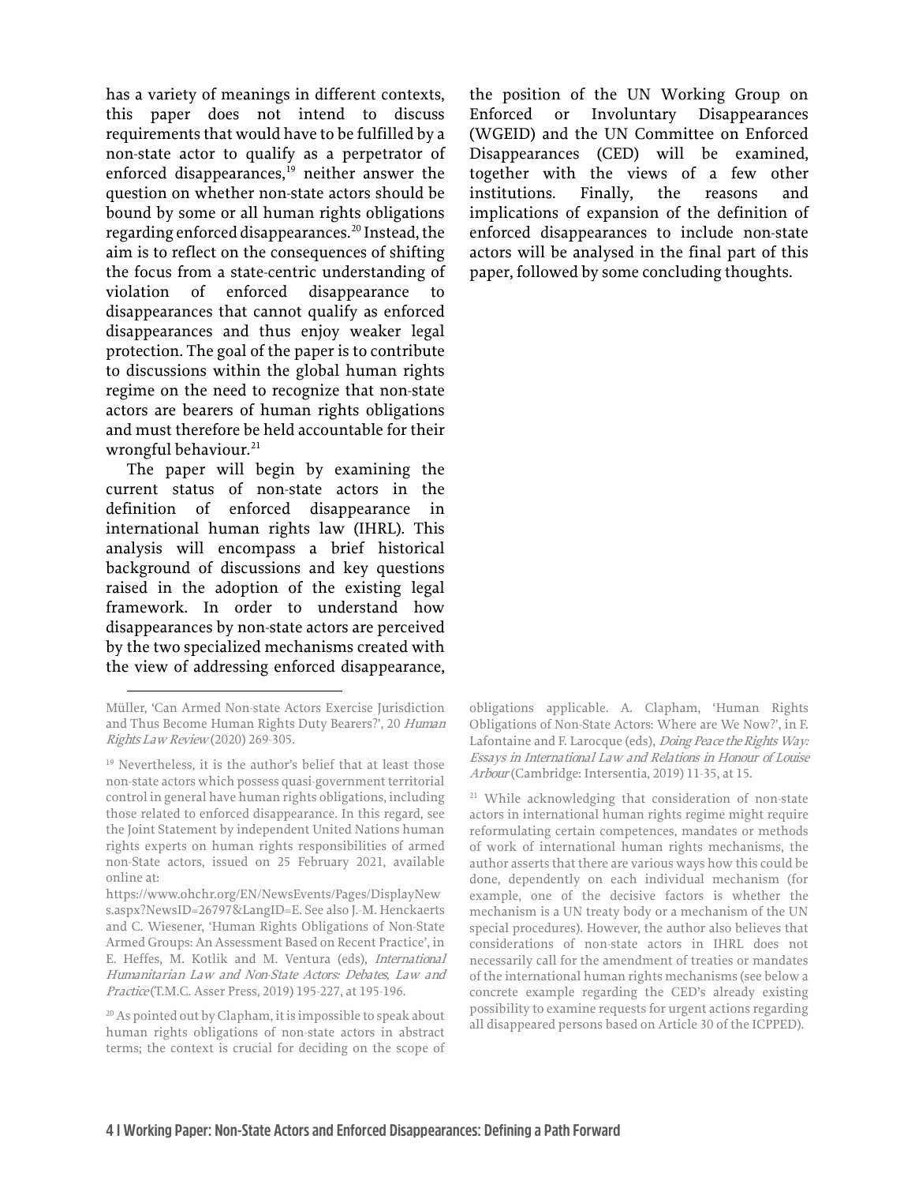has a variety of meanings in different contexts, this paper does not intend to discuss requirements that would have to be fulfilled by a non-state actor to qualify as a perpetrator of enforced disappearances, $19$  neither answer the question on whether non-state actors should be bound by some or all human rights obligations regarding enforced disappearances.[20](#page-5-1) Instead, the aim is to reflect on the consequences of shifting the focus from a state-centric understanding of violation of enforced disappearance to disappearances that cannot qualify as enforced disappearances and thus enjoy weaker legal protection. The goal of the paper is to contribute to discussions within the global human rights regime on the need to recognize that non-state actors are bearers of human rights obligations and must therefore be held accountable for their wrongful behaviour.<sup>[21](#page-5-2)</sup>

The paper will begin by examining the current status of non-state actors in the definition of enforced disappearance in international human rights law (IHRL). This analysis will encompass a brief historical background of discussions and key questions raised in the adoption of the existing legal framework. In order to understand how disappearances by non-state actors are perceived by the two specialized mechanisms created with the view of addressing enforced disappearance,

the position of the UN Working Group on Enforced or Involuntary Disappearances (WGEID) and the UN Committee on Enforced Disappearances (CED) will be examined, together with the views of a few other institutions. Finally, the reasons and implications of expansion of the definition of enforced disappearances to include non-state actors will be analysed in the final part of this paper, followed by some concluding thoughts.

obligations applicable. A. Clapham, 'Human Rights Obligations of Non-State Actors: Where are We Now?', in F. Lafontaine and F. Larocque (eds), *Doing Peace the Rights Way*: Essays in International Law and Relations in Honour of Louise Arbour (Cambridge: Intersentia, 2019) 11-35, at 15.

Müller, 'Can Armed Non-state Actors Exercise Jurisdiction and Thus Become Human Rights Duty Bearers?', 20 Human Rights Law Review (2020) 269-305.

<span id="page-5-2"></span><span id="page-5-0"></span><sup>&</sup>lt;sup>19</sup> Nevertheless, it is the author's belief that at least those non-state actors which possess quasi-government territorial control in general have human rights obligations, including those related to enforced disappearance. In this regard, see the Joint Statement by independent United Nations human rights experts on human rights responsibilities of armed non-State actors, issued on 25 February 2021, available online at:

[https://www.ohchr.org/EN/NewsEvents/Pages/DisplayNew](https://www.ohchr.org/EN/NewsEvents/Pages/DisplayNews.aspx?NewsID=26797&LangID=E) [s.aspx?NewsID=26797&LangID=E.](https://www.ohchr.org/EN/NewsEvents/Pages/DisplayNews.aspx?NewsID=26797&LangID=E) See also J.-M. Henckaerts and C. Wiesener, 'Human Rights Obligations of Non-State Armed Groups: An Assessment Based on Recent Practice', in E. Heffes, M. Kotlik and M. Ventura (eds), International Humanitarian Law and Non-State Actors: Debates, Law and Practice (T.M.C. Asser Press, 2019) 195-227, at 195-196.

<span id="page-5-1"></span><sup>&</sup>lt;sup>20</sup> As pointed out by Clapham, it is impossible to speak about human rights obligations of non-state actors in abstract terms; the context is crucial for deciding on the scope of

<sup>21</sup> While acknowledging that consideration of non-state actors in international human rights regime might require reformulating certain competences, mandates or methods of work of international human rights mechanisms, the author asserts that there are various ways how this could be done, dependently on each individual mechanism (for example, one of the decisive factors is whether the mechanism is a UN treaty body or a mechanism of the UN special procedures). However, the author also believes that considerations of non-state actors in IHRL does not necessarily call for the amendment of treaties or mandates of the international human rights mechanisms (see below a concrete example regarding the CED's already existing possibility to examine requests for urgent actions regarding all disappeared persons based on Article 30 of the ICPPED).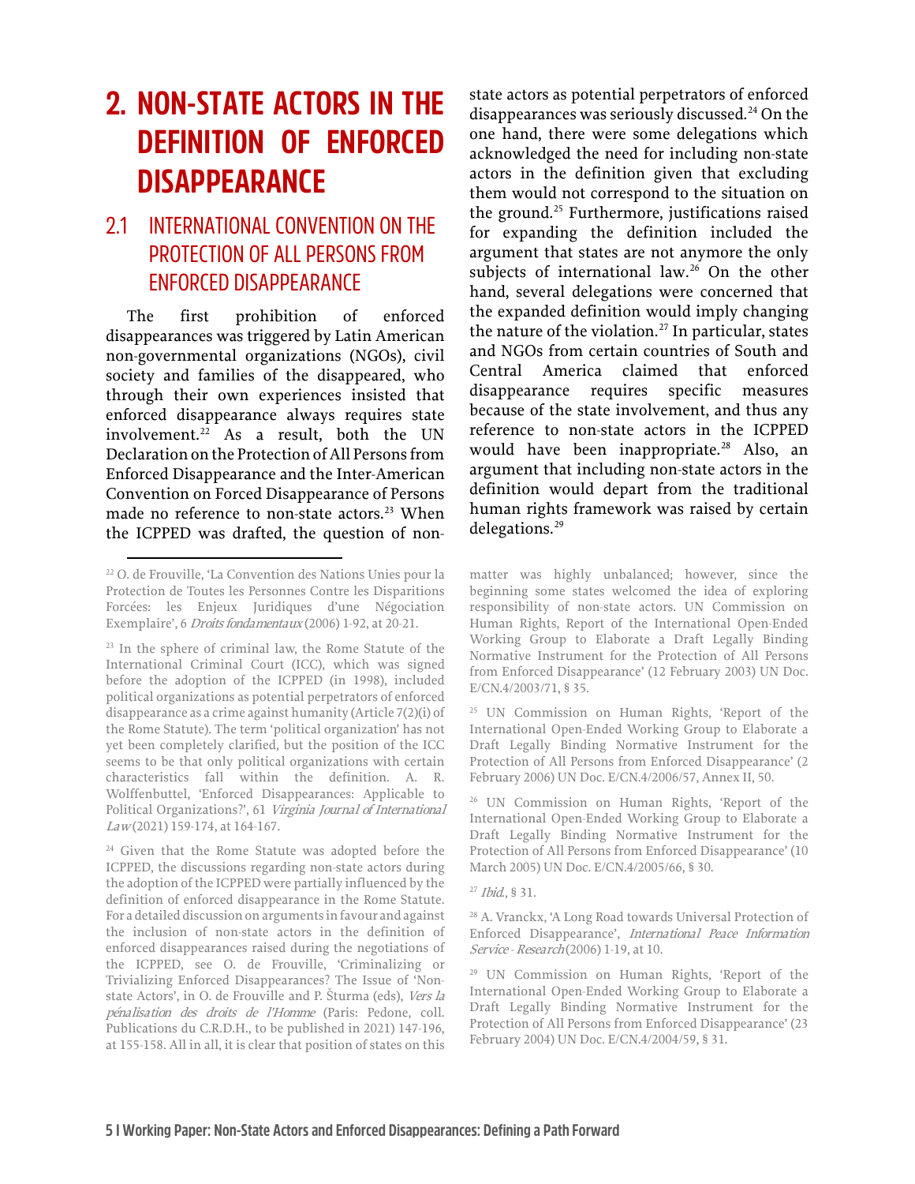## <span id="page-6-0"></span>**2. NON-STATE ACTORS IN THE DEFINITION OF ENFORCED DISAPPEARANCE**

#### <span id="page-6-1"></span>2.1 INTERNATIONAL CONVENTION ON THE PROTECTION OF ALL PERSONS FROM ENFORCED DISAPPEARANCE

The first prohibition of enforced disappearances was triggered by Latin American non-governmental organizations (NGOs), civil society and families of the disappeared, who through their own experiences insisted that enforced disappearance always requires state involvement.[22](#page-6-2) As a result, both the UN Declaration on the Protection of All Persons from Enforced Disappearance and the Inter-American Convention on Forced Disappearance of Persons made no reference to non-state actors.<sup>[23](#page-6-3)</sup> When the ICPPED was drafted, the question of non-

<span id="page-6-9"></span><span id="page-6-8"></span><span id="page-6-7"></span><span id="page-6-6"></span><span id="page-6-4"></span><sup>24</sup> Given that the Rome Statute was adopted before the ICPPED, the discussions regarding non-state actors during the adoption of the ICPPED were partially influenced by the definition of enforced disappearance in the Rome Statute. For a detailed discussion on arguments in favour and against the inclusion of non-state actors in the definition of enforced disappearances raised during the negotiations of the ICPPED, see O. de Frouville, 'Criminalizing or Trivializing Enforced Disappearances? The Issue of 'Nonstate Actors', in O. de Frouville and P. Šturma (eds), Vers la pénalisation des droits de l'Homme (Paris: Pedone, coll. Publications du C.R.D.H., to be published in 2021) 147-196, at 155-158. All in all, it is clear that position of states on this state actors as potential perpetrators of enforced disappearances was seriously discussed. $^{24}$  $^{24}$  $^{24}$  On the one hand, there were some delegations which acknowledged the need for including non-state actors in the definition given that excluding them would not correspond to the situation on the ground.[25](#page-6-5) Furthermore, justifications raised for expanding the definition included the argument that states are not anymore the only subjects of international law.<sup>[26](#page-6-6)</sup> On the other hand, several delegations were concerned that the expanded definition would imply changing the nature of the violation. $27$  In particular, states and NGOs from certain countries of South and Central America claimed that enforced disappearance requires specific measures because of the state involvement, and thus any reference to non-state actors in the ICPPED would have been inappropriate.<sup>[28](#page-6-8)</sup> Also, an argument that including non-state actors in the definition would depart from the traditional human rights framework was raised by certain delegations.<sup>[29](#page-6-9)</sup>

matter was highly unbalanced; however, since the beginning some states welcomed the idea of exploring responsibility of non-state actors. UN Commission on Human Rights, Report of the International Open-Ended Working Group to Elaborate a Draft Legally Binding Normative Instrument for the Protection of All Persons from Enforced Disappearance' (12 February 2003) UN Doc. E/CN.4/2003/71, § 35.

<sup>26</sup> UN Commission on Human Rights, 'Report of the International Open-Ended Working Group to Elaborate a Draft Legally Binding Normative Instrument for the Protection of All Persons from Enforced Disappearance' (10 March 2005) UN Doc. E/CN.4/2005/66, § 30.

#### <sup>27</sup> Ibid., § 31.

<sup>28</sup> A. Vranckx, 'A Long Road towards Universal Protection of Enforced Disappearance', International Peace Information Service - Research (2006) 1-19, at 10.

<sup>29</sup> UN Commission on Human Rights, 'Report of the International Open-Ended Working Group to Elaborate a Draft Legally Binding Normative Instrument for the Protection of All Persons from Enforced Disappearance' (23 February 2004) UN Doc. E/CN.4/2004/59, § 31.

<span id="page-6-2"></span><sup>22</sup> O. de Frouville, 'La Convention des Nations Unies pour la Protection de Toutes les Personnes Contre les Disparitions Forcées: les Enjeux Juridiques d'une Négociation Exemplaire', 6 Droits fondamentaux (2006) 1-92, at 20-21.

<span id="page-6-5"></span><span id="page-6-3"></span><sup>23</sup> In the sphere of criminal law, the Rome Statute of the International Criminal Court (ICC), which was signed before the adoption of the ICPPED (in 1998), included political organizations as potential perpetrators of enforced disappearance as a crime against humanity (Article 7(2)(i) of the Rome Statute). The term 'political organization' has not yet been completely clarified, but the position of the ICC seems to be that only political organizations with certain characteristics fall within the definition. A. R. Wolffenbuttel, 'Enforced Disappearances: Applicable to Political Organizations?', 61 Virginia Journal of International Law (2021) 159-174, at 164-167.

<sup>25</sup> UN Commission on Human Rights, 'Report of the International Open-Ended Working Group to Elaborate a Draft Legally Binding Normative Instrument for the Protection of All Persons from Enforced Disappearance' (2 February 2006) UN Doc. E/CN.4/2006/57, Annex II, 50.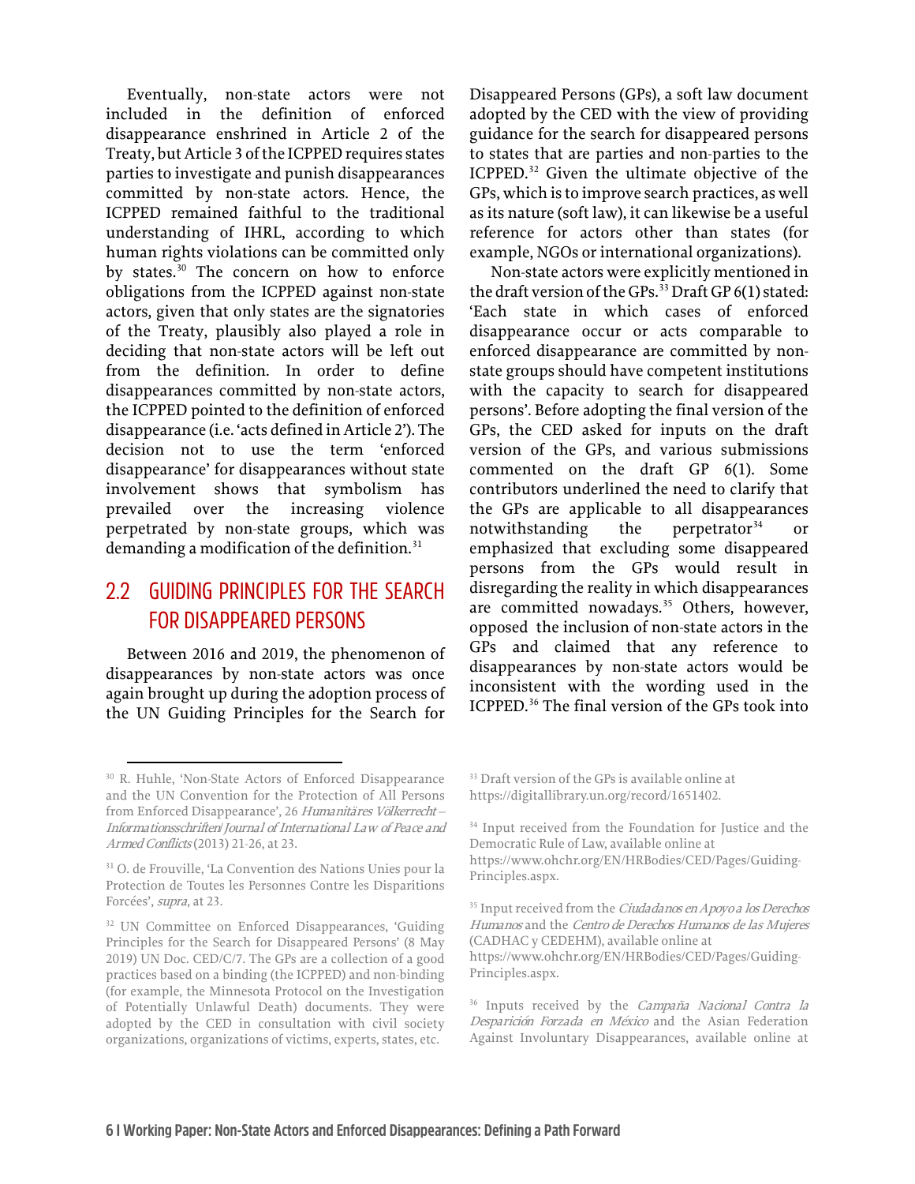Eventually, non-state actors were not included in the definition of enforced disappearance enshrined in Article 2 of the Treaty, but Article 3 of the ICPPED requires states parties to investigate and punish disappearances committed by non-state actors. Hence, the ICPPED remained faithful to the traditional understanding of IHRL, according to which human rights violations can be committed only by states.<sup>[30](#page-7-1)</sup> The concern on how to enforce obligations from the ICPPED against non-state actors, given that only states are the signatories of the Treaty, plausibly also played a role in deciding that non-state actors will be left out from the definition. In order to define disappearances committed by non-state actors, the ICPPED pointed to the definition of enforced disappearance (i.e. 'acts defined inArticle 2'). The decision not to use the term 'enforced disappearance' for disappearances without state involvement shows that symbolism has prevailed over the increasing violence perpetrated by non-state groups, which was demanding a modification of the definition.<sup>31</sup>

#### <span id="page-7-0"></span>2.2 GUIDING PRINCIPLES FOR THE SEARCH FOR DISAPPEARED PERSONS

Between 2016 and 2019, the phenomenon of disappearances by non-state actors was once again brought up during the adoption process of the UN Guiding Principles for the Search for

Disappeared Persons (GPs), a soft law document adopted by the CED with the view of providing guidance for the search for disappeared persons to states that are parties and non-parties to the ICPPED.<sup>[32](#page-7-3)</sup> Given the ultimate objective of the GPs, which is to improve search practices, as well as its nature (soft law), it can likewise be a useful reference for actors other than states (for example, NGOs or international organizations).

Non-state actors were explicitly mentioned in the draft version of the GPs.<sup>[33](#page-7-1)</sup> Draft GP 6(1) stated: 'Each state in which cases of enforced disappearance occur or acts comparable to enforced disappearance are committed by nonstate groups should have competent institutions with the capacity to search for disappeared persons'. Before adopting the final version of the GPs, the CED asked for inputs on the draft version of the GPs, and various submissions commented on the draft GP 6(1). Some contributors underlined the need to clarify that the GPs are applicable to all disappearances notwithstanding the perpetrator<sup>[34](#page-7-4)</sup> emphasized that excluding some disappeared persons from the GPs would result in disregarding the reality in which disappearances are committed nowadays.<sup>[35](#page-7-5)</sup> Others, however, opposed the inclusion of non-state actors in the GPs and claimed that any reference to disappearances by non-state actors would be inconsistent with the wording used in the ICPPED.[36](#page-7-6) The final version of the GPs took into

<sup>33</sup> Draft version of the GPs is available online at [https://digitallibrary.un.org/record/1651402.](https://digitallibrary.un.org/record/1651402) 

<sup>34</sup> Input received from the Foundation for Justice and the Democratic Rule of Law, available online at [https://www.ohchr.org/EN/HRBodies/CED/Pages/Guiding-](https://www.ohchr.org/EN/HRBodies/CED/Pages/Guiding-Principles.aspx)[Principles.aspx.](https://www.ohchr.org/EN/HRBodies/CED/Pages/Guiding-Principles.aspx) 

<sup>35</sup> Input received from the *Ciudadanos en Apoyo a los Derechos* Humanos and the Centro de Derechos Humanos de las Mujeres (CADHAC y CEDEHM), available online at [https://www.ohchr.org/EN/HRBodies/CED/Pages/Guiding-](https://www.ohchr.org/EN/HRBodies/CED/Pages/Guiding-Principles.aspx)[Principles.aspx.](https://www.ohchr.org/EN/HRBodies/CED/Pages/Guiding-Principles.aspx) 

<sup>36</sup> Inputs received by the *Campaña Nacional Contra la* Desparición Forzada en México and the Asian Federation Against Involuntary Disappearances, available online at

<span id="page-7-1"></span><sup>30</sup> R. Huhle, 'Non-State Actors of Enforced Disappearance and the UN Convention for the Protection of All Persons from Enforced Disappearance', 26 Humanitäres Völkerrecht – Informationsschriften/Journal of International Law of Peace and Armed Conflicts(2013) 21-26, at 23.

<span id="page-7-4"></span><span id="page-7-2"></span><sup>31</sup> O. de Frouville, 'La Convention des Nations Unies pour la Protection de Toutes les Personnes Contre les Disparitions Forcées', supra, at 23.

<span id="page-7-6"></span><span id="page-7-5"></span><span id="page-7-3"></span><sup>&</sup>lt;sup>32</sup> UN Committee on Enforced Disappearances, 'Guiding Principles for the Search for Disappeared Persons' (8 May 2019) UN Doc. CED/C/7. The GPs are a collection of a good practices based on a binding (the ICPPED) and non-binding (for example, the Minnesota Protocol on the Investigation of Potentially Unlawful Death) documents. They were adopted by the CED in consultation with civil society organizations, organizations of victims, experts, states, etc.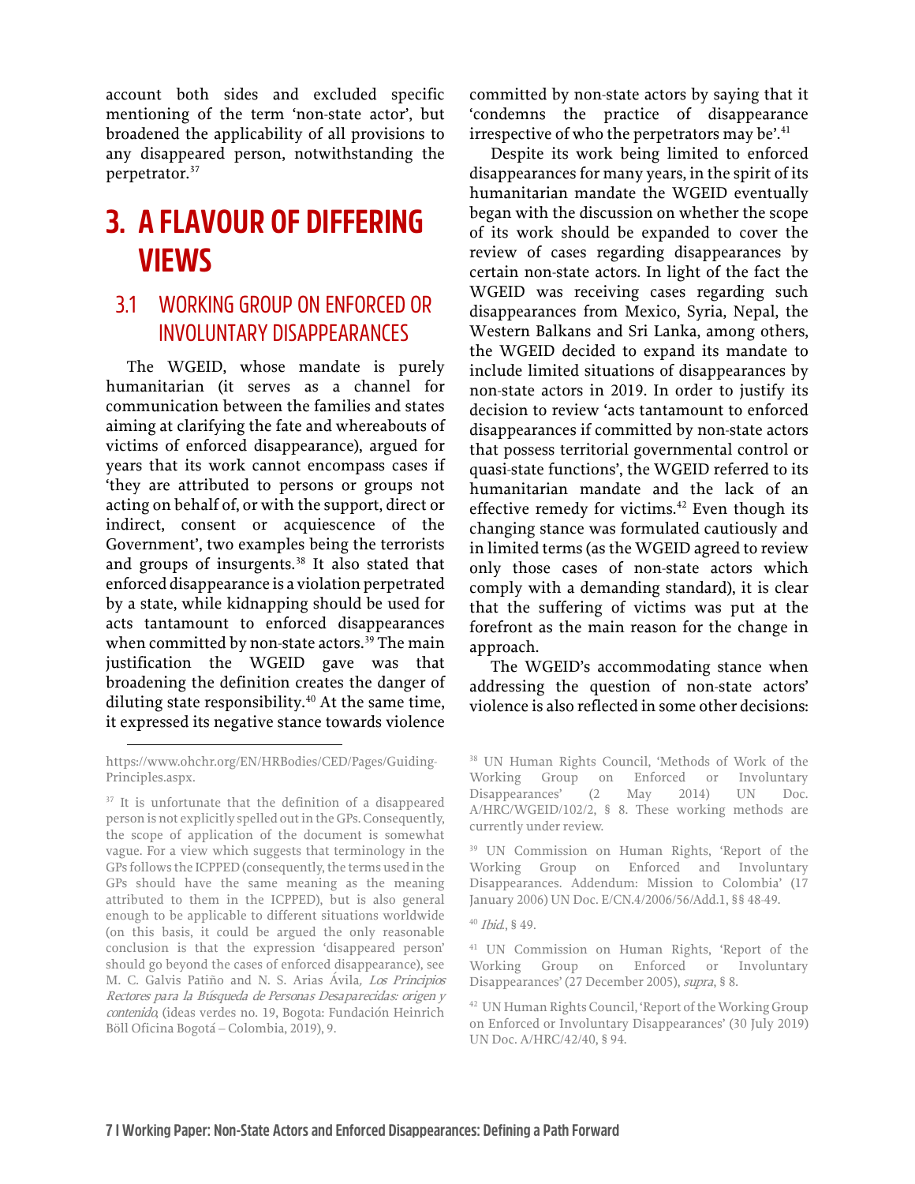account both sides and excluded specific mentioning of the term 'non-state actor', but broadened the applicability of all provisions to any disappeared person, notwithstanding the perpetrator.<sup>[37](#page-8-2)</sup>

## <span id="page-8-0"></span>**3. A FLAVOUR OF DIFFERING VIEWS**

#### <span id="page-8-1"></span>3.1 WORKING GROUP ON ENFORCED OR INVOLUNTARY DISAPPEARANCES

The WGEID, whose mandate is purely humanitarian (it serves as a channel for communication between the families and states aiming at clarifying the fate and whereabouts of victims of enforced disappearance), argued for years that its work cannot encompass cases if 'they are attributed to persons or groups not acting on behalf of, or with the support, direct or indirect, consent or acquiescence of the Government', two examples being the terrorists and groups of insurgents.<sup>[38](#page-8-3)</sup> It also stated that enforced disappearance is a violation perpetrated by a state, while kidnapping should be used for acts tantamount to enforced disappearances when committed by non-state actors.<sup>[39](#page-8-4)</sup> The main justification the WGEID gave was that broadening the definition creates the danger of diluting state responsibility.<sup>[40](#page-8-5)</sup> At the same time, it expressed its negative stance towards violence

committed by non-state actors by saying that it 'condemns the practice of disappearance irrespective of who the perpetrators may be'.<sup>[41](#page-8-6)</sup>

Despite its work being limited to enforced disappearances for many years, in the spirit of its humanitarian mandate the WGEID eventually began with the discussion on whether the scope of its work should be expanded to cover the review of cases regarding disappearances by certain non-state actors. In light of the fact the WGEID was receiving cases regarding such disappearances from Mexico, Syria, Nepal, the Western Balkans and Sri Lanka, among others, the WGEID decided to expand its mandate to include limited situations of disappearances by non-state actors in 2019. In order to justify its decision to review 'acts tantamount to enforced disappearances if committed by non-state actors that possess territorial governmental control or quasi-state functions', the WGEID referred to its humanitarian mandate and the lack of an effective remedy for victims. $42$  Even though its changing stance was formulated cautiously and in limited terms (as the WGEID agreed to review only those cases of non-state actors which comply with a demanding standard), it is clear that the suffering of victims was put at the forefront as the main reason for the change in approach.

The WGEID's accommodating stance when addressing the question of non-state actors' violence is also reflected in some other decisions:

<span id="page-8-3"></span>[https://www.ohchr.org/EN/HRBodies/CED/Pages/Guiding-](https://www.ohchr.org/EN/HRBodies/CED/Pages/Guiding-Principles.aspx)[Principles.aspx.](https://www.ohchr.org/EN/HRBodies/CED/Pages/Guiding-Principles.aspx) 

<span id="page-8-7"></span><span id="page-8-6"></span><span id="page-8-5"></span><span id="page-8-4"></span><span id="page-8-2"></span><sup>&</sup>lt;sup>37</sup> It is unfortunate that the definition of a disappeared person is not explicitly spelled out in the GPs. Consequently, the scope of application of the document is somewhat vague. For a view which suggests that terminology in the GPs follows the ICPPED (consequently, the terms used in the GPs should have the same meaning as the meaning attributed to them in the ICPPED), but is also general enough to be applicable to different situations worldwide (on this basis, it could be argued the only reasonable conclusion is that the expression 'disappeared person' should go beyond the cases of enforced disappearance), see M. C. Galvis Patiño and N. S. Arias Ávila, Los Principios Rectores para la Búsqueda de Personas Desaparecidas: origen y contenido, (ideas verdes no. 19, Bogota: Fundación Heinrich Böll Oficina Bogotá – Colombia, 2019), 9.

<sup>38</sup> UN Human Rights Council, 'Methods of Work of the Working Group on Enforced or Involuntary Disappearances' (2 May 2014) UN Doc. A/HRC/WGEID/102/2, § 8. These working methods are currently under review.

<sup>39</sup> UN Commission on Human Rights, 'Report of the Working Group on Enforced and Involuntary Disappearances. Addendum: Mission to Colombia' (17 January 2006) UN Doc. E/CN.4/2006/56/Add.1, §§ 48-49.

 $40$  *Ibid.*, § 49.

<sup>41</sup> UN Commission on Human Rights, 'Report of the Working Group on Enforced or Involuntary Disappearances' (27 December 2005), supra, § 8.

<sup>42</sup> UN Human Rights Council, 'Report of the Working Group on Enforced or Involuntary Disappearances' (30 July 2019) UN Doc. A/HRC/42/40, § 94.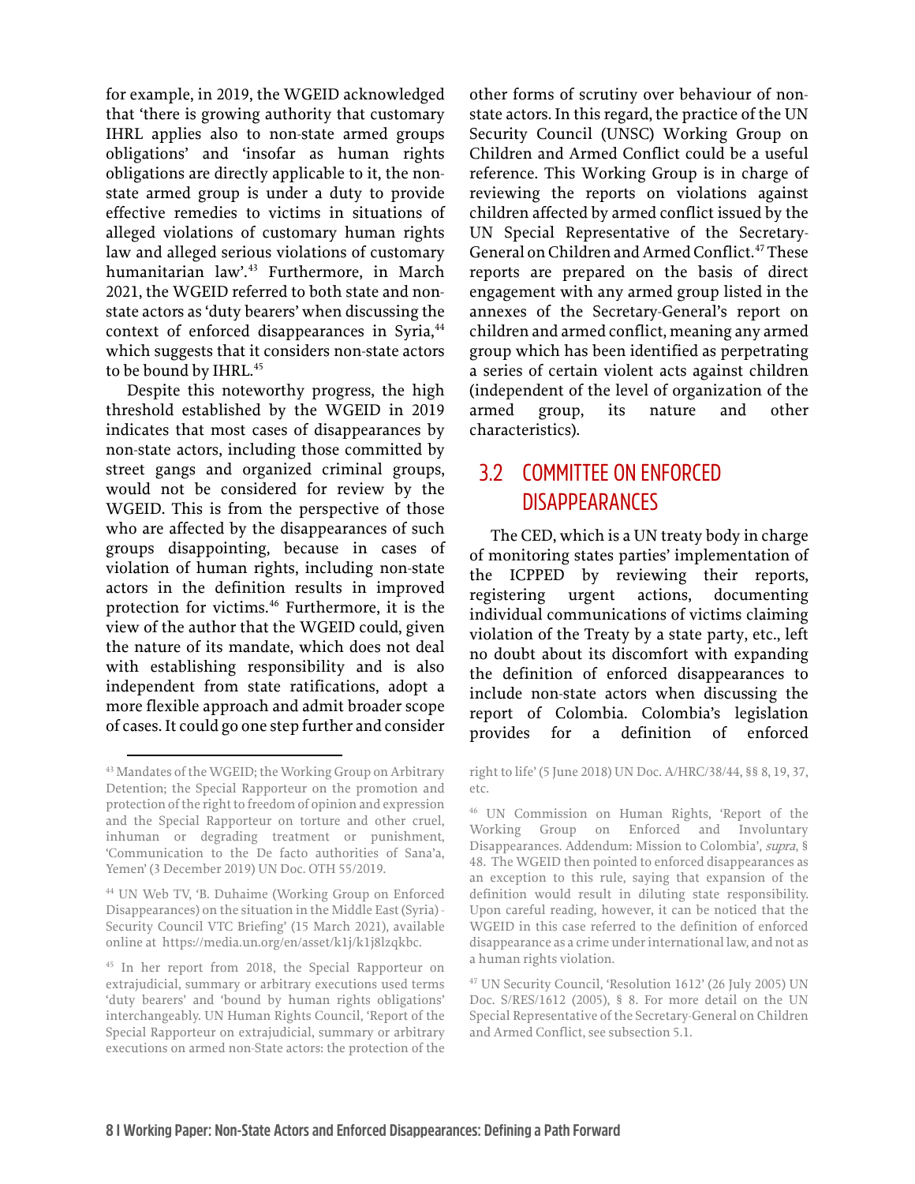for example, in 2019, the WGEID acknowledged that 'there is growing authority that customary IHRL applies also to non-state armed groups obligations' and 'insofar as human rights obligations are directly applicable to it, the nonstate armed group is under a duty to provide effective remedies to victims in situations of alleged violations of customary human rights law and alleged serious violations of customary humanitarian law'.[43](#page-9-1) Furthermore, in March 2021, the WGEID referred to both state and nonstate actors as 'duty bearers' when discussing the context of enforced disappearances in Syria,<sup>[44](#page-9-2)</sup> which suggests that it considers non-state actors to be bound by IHRL.<sup>[45](#page-9-3)</sup>

Despite this noteworthy progress, the high threshold established by the WGEID in 2019 indicates that most cases of disappearances by non-state actors, including those committed by street gangs and organized criminal groups, would not be considered for review by the WGEID. This is from the perspective of those who are affected by the disappearances of such groups disappointing, because in cases of violation of human rights, including non-state actors in the definition results in improved protection for victims.[46](#page-9-4) Furthermore, it is the view of the author that the WGEID could, given the nature of its mandate, which does not deal with establishing responsibility and is also independent from state ratifications, adopt a more flexible approach and admit broader scope of cases. It could go one step further and consider

other forms of scrutiny over behaviour of nonstate actors. In this regard, the practice of the UN Security Council (UNSC) Working Group on Children and Armed Conflict could be a useful reference. This Working Group is in charge of reviewing the reports on violations against children affected by armed conflict issued by the UN Special Representative of the Secretary-General on Children and Armed Conflict.<sup>[47](#page-9-5)</sup> These reports are prepared on the basis of direct engagement with any armed group listed in the annexes of the Secretary-General's report on children and armed conflict, meaning any armed group which has been identified as perpetrating a series of certain violent acts against children (independent of the level of organization of the armed group, its nature and other characteristics).

#### <span id="page-9-0"></span>3.2 COMMITTEE ON ENFORCED DISAPPEARANCES

The CED, which is a UN treaty body in charge of monitoring states parties' implementation of the ICPPED by reviewing their reports, registering urgent actions, documenting individual communications of victims claiming violation of the Treaty by a state party, etc., left no doubt about its discomfort with expanding the definition of enforced disappearances to include non-state actors when discussing the report of Colombia. Colombia's legislation provides for a definition of enforced

<span id="page-9-4"></span><span id="page-9-1"></span><sup>43</sup> Mandates of the WGEID; the Working Group on Arbitrary Detention; the Special Rapporteur on the promotion and protection of the right to freedom of opinion and expression and the Special Rapporteur on torture and other cruel, inhuman or degrading treatment or punishment, 'Communication to the De facto authorities of Sana'a, Yemen' (3 December 2019) UN Doc. OTH 55/2019.

<span id="page-9-2"></span><sup>44</sup> UN Web TV, 'B. Duhaime (Working Group on Enforced Disappearances) on the situation in the Middle East (Syria) - Security Council VTC Briefing' (15 March 2021), available online at [https://media.un.org/en/asset/k1j/k1j8lzqkbc.](https://media.un.org/en/asset/k1j/k1j8lzqkbc) 

<span id="page-9-5"></span><span id="page-9-3"></span><sup>45</sup> In her report from 2018, the Special Rapporteur on extrajudicial, summary or arbitrary executions used terms 'duty bearers' and 'bound by human rights obligations' interchangeably. UN Human Rights Council, 'Report of the Special Rapporteur on extrajudicial, summary or arbitrary executions on armed non-State actors: the protection of the

right to life' (5 June 2018) UN Doc. A/HRC/38/44, §§ 8, 19, 37, etc.

<sup>46</sup> UN Commission on Human Rights, 'Report of the Working Group on Enforced and Involuntary Disappearances. Addendum: Mission to Colombia', supra, § 48. The WGEID then pointed to enforced disappearances as an exception to this rule, saying that expansion of the definition would result in diluting state responsibility. Upon careful reading, however, it can be noticed that the WGEID in this case referred to the definition of enforced disappearance as a crime under international law, and not as a human rights violation.

<sup>47</sup> UN Security Council, 'Resolution 1612' (26 July 2005) UN Doc. S/RES/1612 (2005), § 8. For more detail on the UN Special Representative of the Secretary-General on Children and Armed Conflict, see subsection 5.1.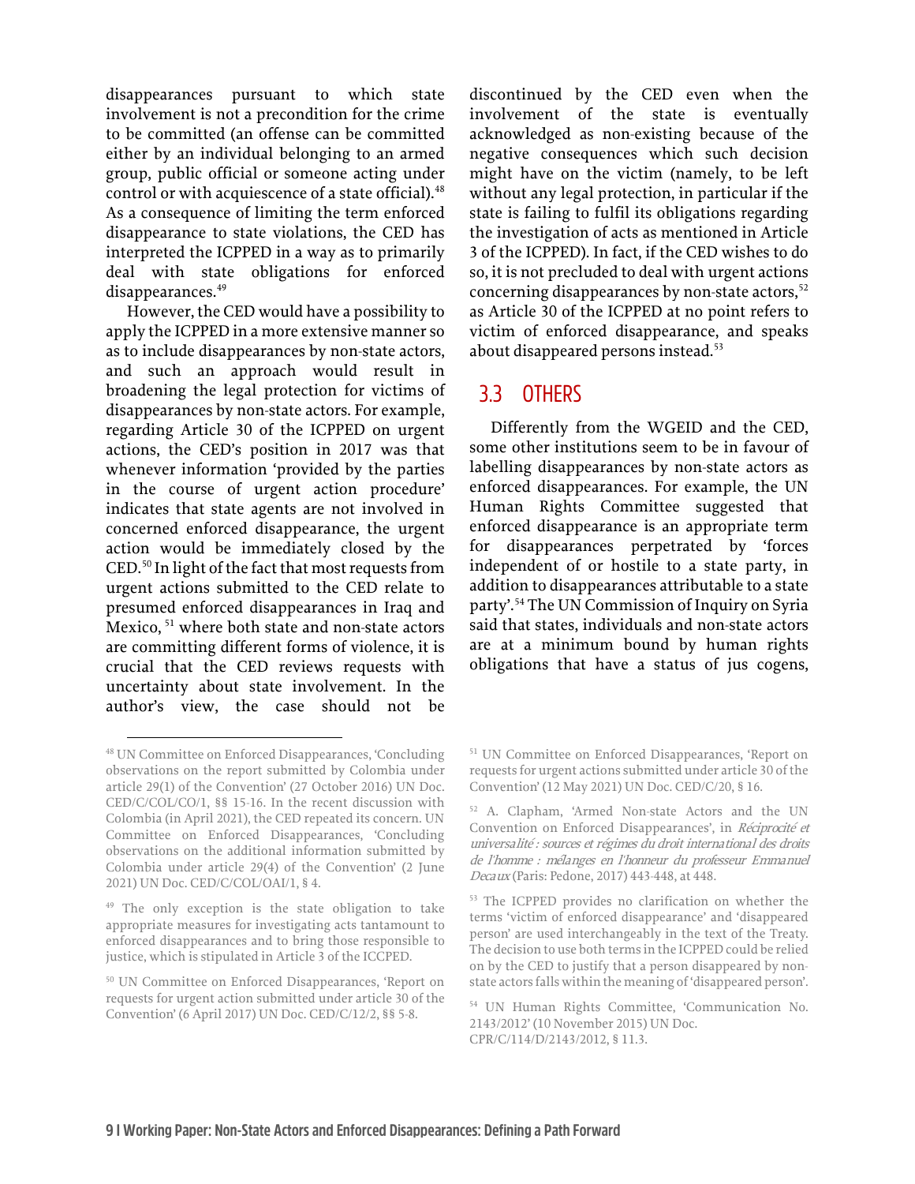disappearances pursuant to which state involvement is not a precondition for the crime to be committed (an offense can be committed either by an individual belonging to an armed group, public official or someone acting under control or with acquiescence of a state official).<sup>[48](#page-10-1)</sup> As a consequence of limiting the term enforced disappearance to state violations, the CED has interpreted the ICPPED in a way as to primarily deal with state obligations for enforced disappearances.<sup>49</sup>

However, the CED would have a possibility to apply the ICPPED in a more extensive mannerso as to include disappearances by non-state actors, and such an approach would result in broadening the legal protection for victims of disappearances by non-state actors. For example, regarding Article 30 of the ICPPED on urgent actions, the CED's position in 2017 was that whenever information 'provided by the parties in the course of urgent action procedure' indicates that state agents are not involved in concerned enforced disappearance, the urgent action would be immediately closed by the CED.[50](#page-10-3) In light of the fact that most requests from urgent actions submitted to the CED relate to presumed enforced disappearances in Iraq and Mexico, <sup>[51](#page-10-1)</sup> where both state and non-state actors are committing different forms of violence, it is crucial that the CED reviews requests with uncertainty about state involvement. In the author's view, the case should not be

discontinued by the CED even when the involvement of the state is eventually acknowledged as non-existing because of the negative consequences which such decision might have on the victim (namely, to be left without any legal protection, in particular if the state is failing to fulfil its obligations regarding the investigation of acts as mentioned in Article 3 of the ICPPED). In fact, if the CED wishes to do so, it is not precluded to deal with urgent actions concerning disappearances by non-state actors,<sup>[52](#page-10-4)</sup> as Article 30 of the ICPPED at no point refers to victim of enforced disappearance, and speaks about disappeared persons instead.<sup>[53](#page-10-5)</sup>

#### <span id="page-10-0"></span>3.3 OTHERS

Differently from the WGEID and the CED, some other institutions seem to be in favour of labelling disappearances by non-state actors as enforced disappearances. For example, the UN Human Rights Committee suggested that enforced disappearance is an appropriate term for disappearances perpetrated by 'forces independent of or hostile to a state party, in addition to disappearances attributable to a state party'.[54](#page-10-6) The UN Commission of Inquiry on Syria said that states, individuals and non-state actors are at a minimum bound by human rights obligations that have a status of jus cogens,

<span id="page-10-4"></span><span id="page-10-1"></span><sup>48</sup> UN Committee on Enforced Disappearances, 'Concluding observations on the report submitted by Colombia under article 29(1) of the Convention' (27 October 2016) UN Doc. CED/C/COL/CO/1, §§ 15-16. In the recent discussion with Colombia (in April 2021), the CED repeated its concern. UN Committee on Enforced Disappearances, 'Concluding observations on the additional information submitted by Colombia under article 29(4) of the Convention' (2 June 2021) UN Doc. CED/C/COL/OAI/1, § 4.

<span id="page-10-5"></span><span id="page-10-2"></span><sup>49</sup> The only exception is the state obligation to take appropriate measures for investigating acts tantamount to enforced disappearances and to bring those responsible to justice, which is stipulated in Article 3 of the ICCPED.

<span id="page-10-6"></span><span id="page-10-3"></span><sup>50</sup> UN Committee on Enforced Disappearances, 'Report on requests for urgent action submitted under article 30 of the Convention' (6 April 2017) UN Doc. CED/C/12/2, §§ 5-8.

<sup>51</sup> UN Committee on Enforced Disappearances, 'Report on requests for urgent actions submitted under article 30 of the Convention' (12 May 2021) UN Doc. CED/C/20, § 16.

<sup>52</sup> A. Clapham, 'Armed Non-state Actors and the UN Convention on Enforced Disappearances', in Réciprocité et universalité : sources et régimes du droit international des droits de l'homme : mélanges en l'honneur du professeur Emmanuel Decaux (Paris: Pedone, 2017) 443-448, at 448.

<sup>53</sup> The ICPPED provides no clarification on whether the terms 'victim of enforced disappearance' and 'disappeared person' are used interchangeably in the text of the Treaty. The decision to use both terms in the ICPPED could be relied on by the CED to justify that a person disappeared by nonstate actors falls within the meaning of 'disappeared person'.

<sup>54</sup> UN Human Rights Committee, 'Communication No. 2143/2012' (10 November 2015) UN Doc. CPR/C/114/D/2143/2012, § 11.3.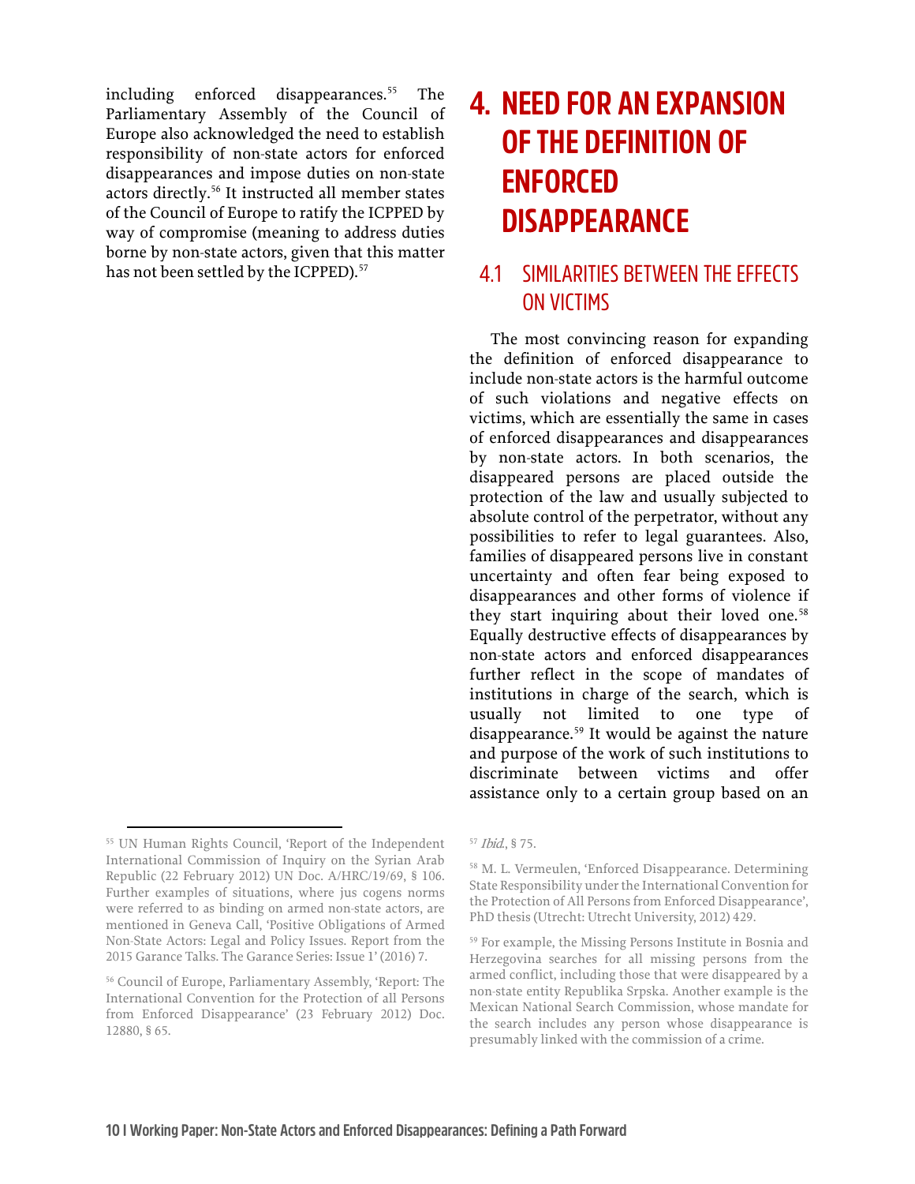including enforced disappearances.<sup>[55](#page-11-2)</sup> The Parliamentary Assembly of the Council of Europe also acknowledged the need to establish responsibility of non-state actors for enforced disappearances and impose duties on non-state actors directly.[56](#page-11-3) It instructed all member states of the Council of Europe to ratify the ICPPED by way of compromise (meaning to address duties borne by non-state actors, given that this matter has not been settled by the ICPPED).<sup>[57](#page-11-2)</sup>

## <span id="page-11-0"></span>**4. NEED FOR AN EXPANSION OF THE DEFINITION OF ENFORCED DISAPPEARANCE**

#### <span id="page-11-1"></span>4.1 SIMILARITIES BETWEEN THE EFFECTS ON VICTIMS

The most convincing reason for expanding the definition of enforced disappearance to include non-state actors is the harmful outcome of such violations and negative effects on victims, which are essentially the same in cases of enforced disappearances and disappearances by non-state actors. In both scenarios, the disappeared persons are placed outside the protection of the law and usually subjected to absolute control of the perpetrator, without any possibilities to refer to legal guarantees. Also, families of disappeared persons live in constant uncertainty and often fear being exposed to disappearances and other forms of violence if they start inquiring about their loved one.<sup>[58](#page-11-4)</sup> Equally destructive effects of disappearances by non-state actors and enforced disappearances further reflect in the scope of mandates of institutions in charge of the search, which is usually not limited to one type of disappearance.<sup>[59](#page-11-5)</sup> It would be against the nature and purpose of the work of such institutions to discriminate between victims and offer assistance only to a certain group based on an

<span id="page-11-4"></span><span id="page-11-2"></span><sup>55</sup> UN Human Rights Council, 'Report of the Independent International Commission of Inquiry on the Syrian Arab Republic (22 February 2012) UN Doc. A/HRC/19/69, § 106. Further examples of situations, where jus cogens norms were referred to as binding on armed non-state actors, are mentioned in Geneva Call, 'Positive Obligations of Armed Non-State Actors: Legal and Policy Issues. Report from the 2015 Garance Talks. The Garance Series: Issue 1' (2016) 7.

<span id="page-11-5"></span><span id="page-11-3"></span><sup>56</sup> Council of Europe, Parliamentary Assembly, 'Report: The International Convention for the Protection of all Persons from Enforced Disappearance' (23 February 2012) Doc. 12880, § 65.

<sup>57</sup> Ibid., § 75.

<sup>58</sup> M. L. Vermeulen, 'Enforced Disappearance. Determining State Responsibility under the International Convention for the Protection of All Persons from Enforced Disappearance', PhD thesis (Utrecht: Utrecht University, 2012) 429.

<sup>59</sup> For example, the Missing Persons Institute in Bosnia and Herzegovina searches for all missing persons from the armed conflict, including those that were disappeared by a non-state entity Republika Srpska. Another example is the Mexican National Search Commission, whose mandate for the search includes any person whose disappearance is presumably linked with the commission of a crime.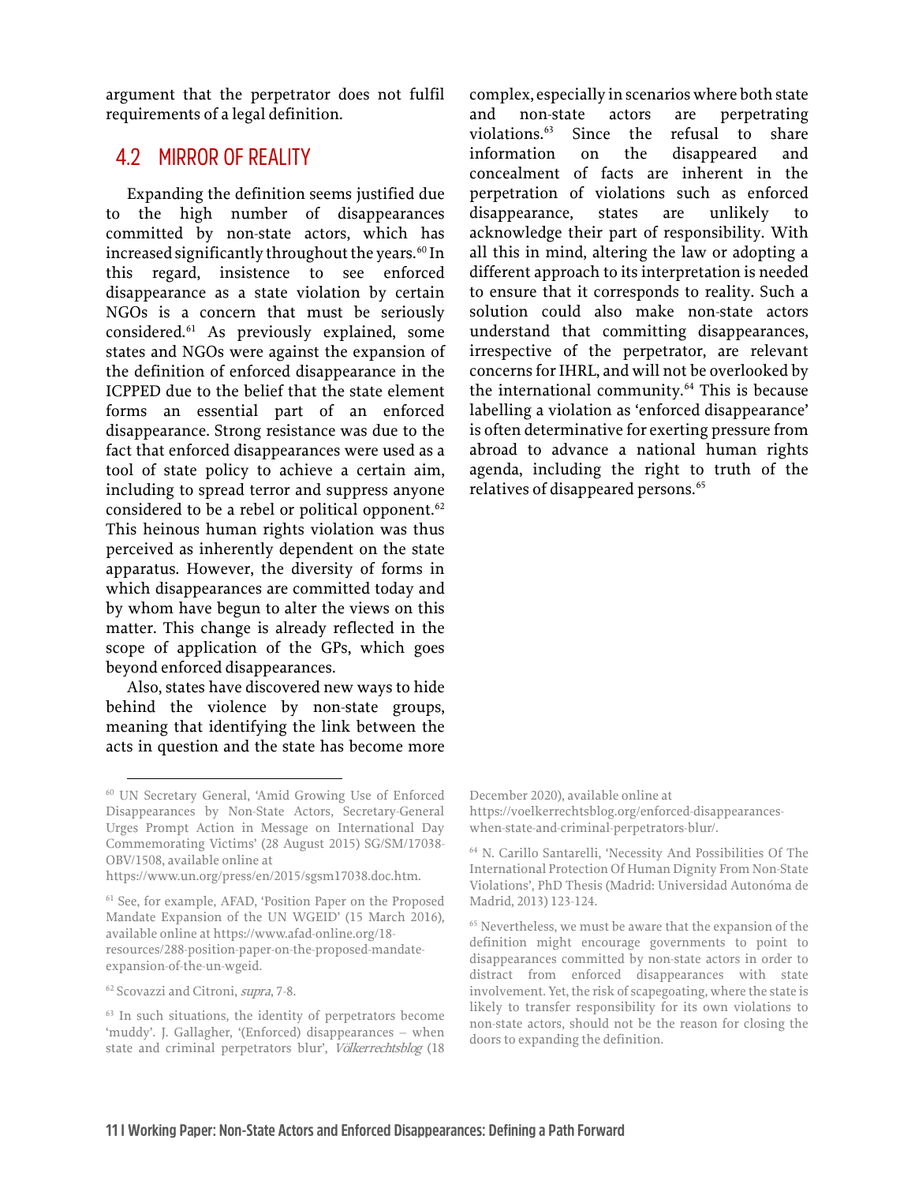argument that the perpetrator does not fulfil requirements of a legal definition.

#### <span id="page-12-0"></span>4.2 MIRROR OF REALITY

Expanding the definition seems justified due to the high number of disappearances committed by non-state actors, which has increased significantly throughout the years.<sup>[60](#page-12-1)</sup> In this regard, insistence to see enforced disappearance as a state violation by certain NGOs is a concern that must be seriously considered.[61](#page-12-2) As previously explained, some states and NGOs were against the expansion of the definition of enforced disappearance in the ICPPED due to the belief that the state element forms an essential part of an enforced disappearance. Strong resistance was due to the fact that enforced disappearances were used as a tool of state policy to achieve a certain aim, including to spread terror and suppress anyone considered to be a rebel or political opponent.<sup>[62](#page-12-3)</sup> This heinous human rights violation was thus perceived as inherently dependent on the state apparatus. However, the diversity of forms in which disappearances are committed today and by whom have begun to alter the views on this matter. This change is already reflected in the scope of application of the GPs, which goes beyond enforced disappearances.

Also, states have discovered new ways to hide behind the violence by non-state groups, meaning that identifying the link between the acts in question and the state has become more

complex, especially in scenarios where both state and non-state actors are perpetrating violations.[63](#page-12-4) Since the refusal to share information on the disappeared and concealment of facts are inherent in the perpetration of violations such as enforced disappearance, states are unlikely to acknowledge their part of responsibility. With all this in mind, altering the law or adopting a different approach to its interpretation is needed to ensure that it corresponds to reality. Such a solution could also make non-state actors understand that committing disappearances, irrespective of the perpetrator, are relevant concerns for IHRL, and will not be overlooked by the international community.[64](#page-12-5) This is because labelling a violation as 'enforced disappearance' is often determinative for exerting pressure from abroad to advance a national human rights agenda, including the right to truth of the relatives of disappeared persons.<sup>[65](#page-12-6)</sup>

<span id="page-12-1"></span><sup>60</sup> UN Secretary General, 'Amid Growing Use of Enforced Disappearances by Non-State Actors, Secretary-General Urges Prompt Action in Message on International Day Commemorating Victims' (28 August 2015) SG/SM/17038- OBV/1508, available online at

<span id="page-12-5"></span>[https://www.un.org/press/en/2015/sgsm17038.doc.htm.](https://www.un.org/press/en/2015/sgsm17038.doc.htm)

<span id="page-12-6"></span><span id="page-12-2"></span><sup>&</sup>lt;sup>61</sup> See, for example, AFAD, 'Position Paper on the Proposed Mandate Expansion of the UN WGEID' (15 March 2016), available online at [https://www.afad-online.org/18](https://www.afad-online.org/18-resources/288-position-paper-on-the-proposed-mandate-expansion-of-the-un-wgeid) [resources/288-position-paper-on-the-proposed-mandate](https://www.afad-online.org/18-resources/288-position-paper-on-the-proposed-mandate-expansion-of-the-un-wgeid)[expansion-of-the-un-wgeid.](https://www.afad-online.org/18-resources/288-position-paper-on-the-proposed-mandate-expansion-of-the-un-wgeid) 

<span id="page-12-3"></span><sup>62</sup> Scovazzi and Citroni, supra, 7-8.

<span id="page-12-4"></span><sup>&</sup>lt;sup>63</sup> In such situations, the identity of perpetrators become 'muddy'. J. Gallagher, '(Enforced) disappearances – when state and criminal perpetrators blur', Völkerrechtsblog (18

December 2020), available online at [https://voelkerrechtsblog.org/enforced-disappearances](https://voelkerrechtsblog.org/enforced-disappearances-when-state-and-criminal-perpetrators-blur/)[when-state-and-criminal-perpetrators-blur/.](https://voelkerrechtsblog.org/enforced-disappearances-when-state-and-criminal-perpetrators-blur/) 

<sup>64</sup> N. Carillo Santarelli, 'Necessity And Possibilities Of The International Protection Of Human Dignity From Non-State Violations', PhD Thesis (Madrid: Universidad Autonóma de Madrid, 2013) 123-124.

<sup>65</sup> Nevertheless, we must be aware that the expansion of the definition might encourage governments to point to disappearances committed by non-state actors in order to distract from enforced disappearances with state involvement. Yet, the risk of scapegoating, where the state is likely to transfer responsibility for its own violations to non-state actors, should not be the reason for closing the doors to expanding the definition.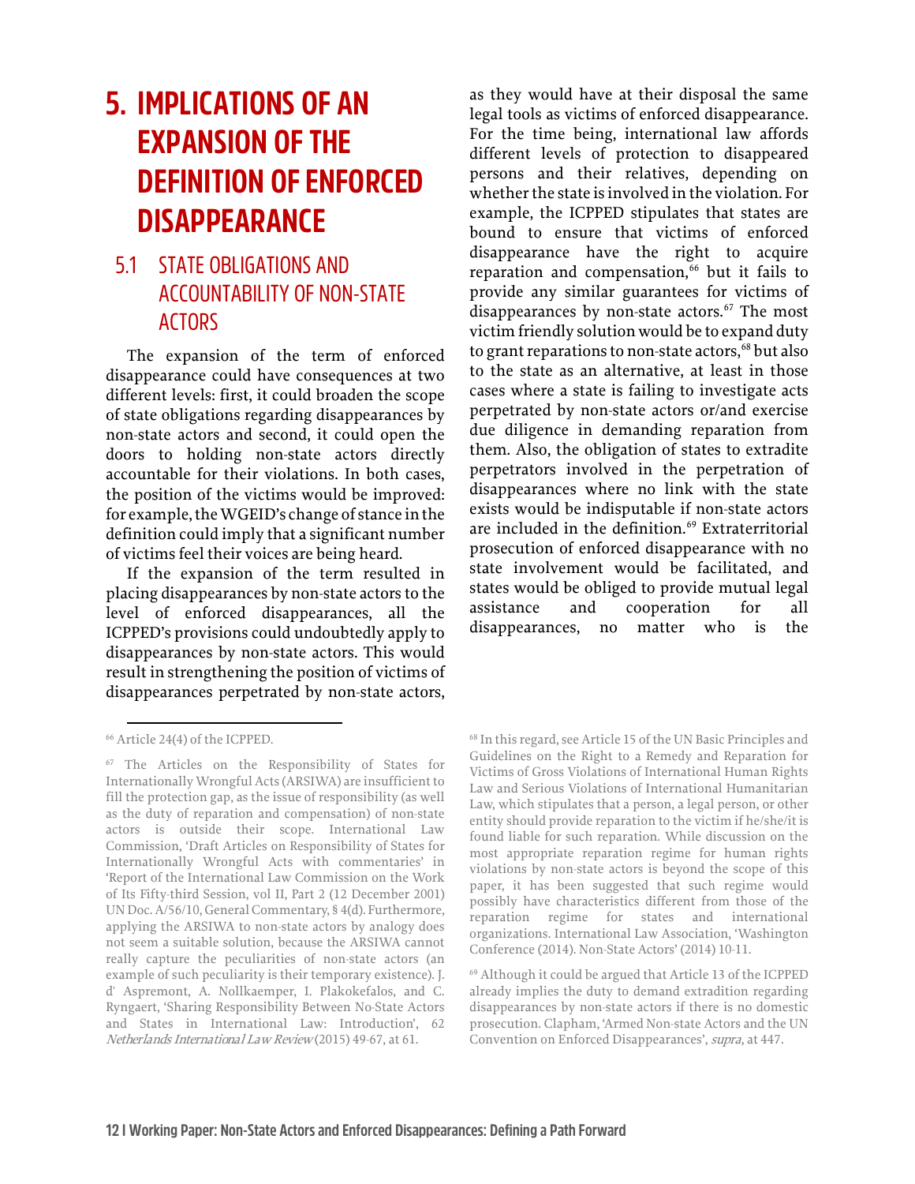## <span id="page-13-0"></span>**5. IMPLICATIONS OF AN EXPANSION OF THE DEFINITION OF ENFORCED DISAPPEARANCE**

#### <span id="page-13-1"></span>5.1 STATE OBLIGATIONS AND ACCOUNTABILITY OF NON-STATE ACTORS

The expansion of the term of enforced disappearance could have consequences at two different levels: first, it could broaden the scope of state obligations regarding disappearances by non-state actors and second, it could open the doors to holding non-state actors directly accountable for their violations. In both cases, the position of the victims would be improved: for example, the WGEID's change of stance in the definition could imply that a significant number of victims feel their voices are being heard.

If the expansion of the term resulted in placing disappearances by non-state actors to the level of enforced disappearances, all the ICPPED's provisions could undoubtedly apply to disappearances by non-state actors. This would result in strengthening the position of victims of disappearances perpetrated by non-state actors,

as they would have at their disposal the same legal tools as victims of enforced disappearance. For the time being, international law affords different levels of protection to disappeared persons and their relatives, depending on whether the state is involved in the violation. For example, the ICPPED stipulates that states are bound to ensure that victims of enforced disappearance have the right to acquire reparation and compensation, $66$  but it fails to provide any similar guarantees for victims of disappearances by non-state actors. $67$  The most victim friendly solution would be to expand duty to grant reparations to non-state actors,<sup>[68](#page-13-2)</sup> but also to the state as an alternative, at least in those cases where a state is failing to investigate acts perpetrated by non-state actors or/and exercise due diligence in demanding reparation from them. Also, the obligation of states to extradite perpetrators involved in the perpetration of disappearances where no link with the state exists would be indisputable if non-state actors are included in the definition.<sup>[69](#page-13-4)</sup> Extraterritorial prosecution of enforced disappearance with no state involvement would be facilitated, and states would be obliged to provide mutual legal assistance and cooperation for all disappearances, no matter who is the

<span id="page-13-2"></span><sup>66</sup> Article 24(4) of the ICPPED.

<span id="page-13-4"></span><span id="page-13-3"></span><sup>67</sup> The Articles on the Responsibility of States for Internationally Wrongful Acts(ARSIWA) are insufficient to fill the protection gap, as the issue of responsibility (as well as the duty of reparation and compensation) of non-state actors is outside their scope. International Law Commission, 'Draft Articles on Responsibility of States for Internationally Wrongful Acts with commentaries' in 'Report of the International Law Commission on the Work of Its Fifty-third Session, vol II, Part 2 (12 December 2001) UN Doc. A/56/10, General Commentary, § 4(d). Furthermore, applying the ARSIWA to non-state actors by analogy does not seem a suitable solution, because the ARSIWA cannot really capture the peculiarities of non-state actors (an example of such peculiarity is their temporary existence). J. d' Aspremont, A. Nollkaemper, I. Plakokefalos, and C. Ryngaert, 'Sharing Responsibility Between No-State Actors and States in International Law: Introduction', 62 Netherlands International Law Review (2015) 49-67, at 61.

<sup>68</sup> In this regard, see Article 15 of the UN Basic Principles and Guidelines on the Right to a Remedy and Reparation for Victims of Gross Violations of International Human Rights Law and Serious Violations of International Humanitarian Law, which stipulates that a person, a legal person, or other entity should provide reparation to the victim if he/she/it is found liable for such reparation. While discussion on the most appropriate reparation regime for human rights violations by non-state actors is beyond the scope of this paper, it has been suggested that such regime would possibly have characteristics different from those of the reparation regime for states and international organizations. International Law Association, 'Washington Conference (2014). Non-State Actors' (2014) 10-11.

<sup>69</sup> Although it could be argued that Article 13 of the ICPPED already implies the duty to demand extradition regarding disappearances by non-state actors if there is no domestic prosecution. Clapham, 'Armed Non-state Actors and the UN Convention on Enforced Disappearances', supra, at 447.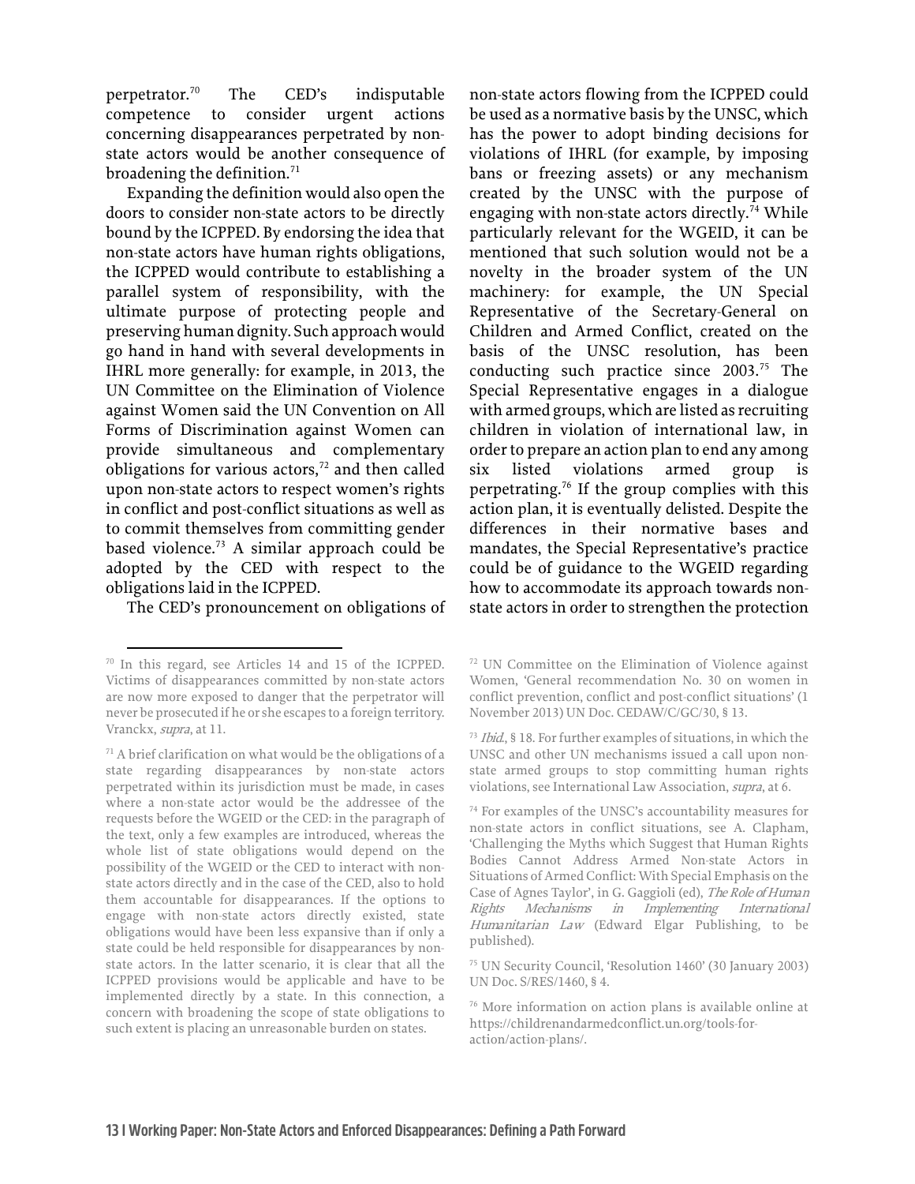perpetrator.[70](#page-14-0) The CED's indisputable competence to consider urgent actions concerning disappearances perpetrated by nonstate actors would be another consequence of broadening the definition.<sup>71</sup>

Expanding the definition would also open the doors to consider non-state actors to be directly bound by the ICPPED. By endorsing the idea that non-state actors have human rights obligations, the ICPPED would contribute to establishing a parallel system of responsibility, with the ultimate purpose of protecting people and preserving human dignity. Such approach would go hand in hand with several developments in IHRL more generally: for example, in 2013, the UN Committee on the Elimination of Violence against Women said the UN Convention on All Forms of Discrimination against Women can provide simultaneous and complementary obligations for various actors, $72$  and then called upon non-state actors to respect women's rights in conflict and post-conflict situations as well as to commit themselves from committing gender based violence[.73](#page-14-2) A similar approach could be adopted by the CED with respect to the obligations laid in the ICPPED.

The CED's pronouncement on obligations of

non-state actors flowing from the ICPPED could be used as a normative basis by the UNSC, which has the power to adopt binding decisions for violations of IHRL (for example, by imposing bans or freezing assets) or any mechanism created by the UNSC with the purpose of engaging with non-state actors directly.<sup>[74](#page-14-3)</sup> While particularly relevant for the WGEID, it can be mentioned that such solution would not be a novelty in the broader system of the UN machinery: for example, the UN Special Representative of the Secretary-General on Children and Armed Conflict, created on the basis of the UNSC resolution, has been conducting such practice since 2003.<sup>[75](#page-14-4)</sup> The Special Representative engages in a dialogue with armed groups, which are listed as recruiting children in violation of international law, in order to prepare an action plan to end any among six listed violations armed group is perpetrating.[76](#page-14-5) If the group complies with this action plan, it is eventually delisted. Despite the differences in their normative bases and mandates, the Special Representative's practice could be of guidance to the WGEID regarding how to accommodate its approach towards nonstate actors in order to strengthen the protection

<sup>75</sup> UN Security Council, 'Resolution 1460' (30 January 2003) UN Doc. S/RES/1460, § 4.

<span id="page-14-0"></span><sup>70</sup> In this regard, see Articles 14 and 15 of the ICPPED. Victims of disappearances committed by non-state actors are now more exposed to danger that the perpetrator will never be prosecuted if he or she escapes to a foreign territory. Vranckx, supra, at 11.

<span id="page-14-5"></span><span id="page-14-4"></span><span id="page-14-3"></span><span id="page-14-2"></span><span id="page-14-1"></span> $71$  A brief clarification on what would be the obligations of a state regarding disappearances by non-state actors perpetrated within its jurisdiction must be made, in cases where a non-state actor would be the addressee of the requests before the WGEID or the CED: in the paragraph of the text, only a few examples are introduced, whereas the whole list of state obligations would depend on the possibility of the WGEID or the CED to interact with nonstate actors directly and in the case of the CED, also to hold them accountable for disappearances. If the options to engage with non-state actors directly existed, state obligations would have been less expansive than if only a state could be held responsible for disappearances by nonstate actors. In the latter scenario, it is clear that all the ICPPED provisions would be applicable and have to be implemented directly by a state. In this connection, a concern with broadening the scope of state obligations to such extent is placing an unreasonable burden on states.

<sup>72</sup> UN Committee on the Elimination of Violence against Women, 'General recommendation No. 30 on women in conflict prevention, conflict and post-conflict situations' (1 November 2013) UN Doc. CEDAW/C/GC/30, § 13.

<sup>73</sup> Ibid., § 18. For further examples of situations, in which the UNSC and other UN mechanisms issued a call upon nonstate armed groups to stop committing human rights violations, see International Law Association, supra, at 6.

<sup>74</sup> For examples of the UNSC's accountability measures for non-state actors in conflict situations, see A. Clapham, 'Challenging the Myths which Suggest that Human Rights Bodies Cannot Address Armed Non-state Actors in Situations of Armed Conflict: With Special Emphasis on the Case of Agnes Taylor', in G. Gaggioli (ed), The Role of Human Rights Mechanisms in Implementing International Humanitarian Law (Edward Elgar Publishing, to be published).

<sup>76</sup> More information on action plans is available online at [https://childrenandarmedconflict.un.org/tools-for](https://childrenandarmedconflict.un.org/tools-for-action/action-plans/)[action/action-plans/.](https://childrenandarmedconflict.un.org/tools-for-action/action-plans/)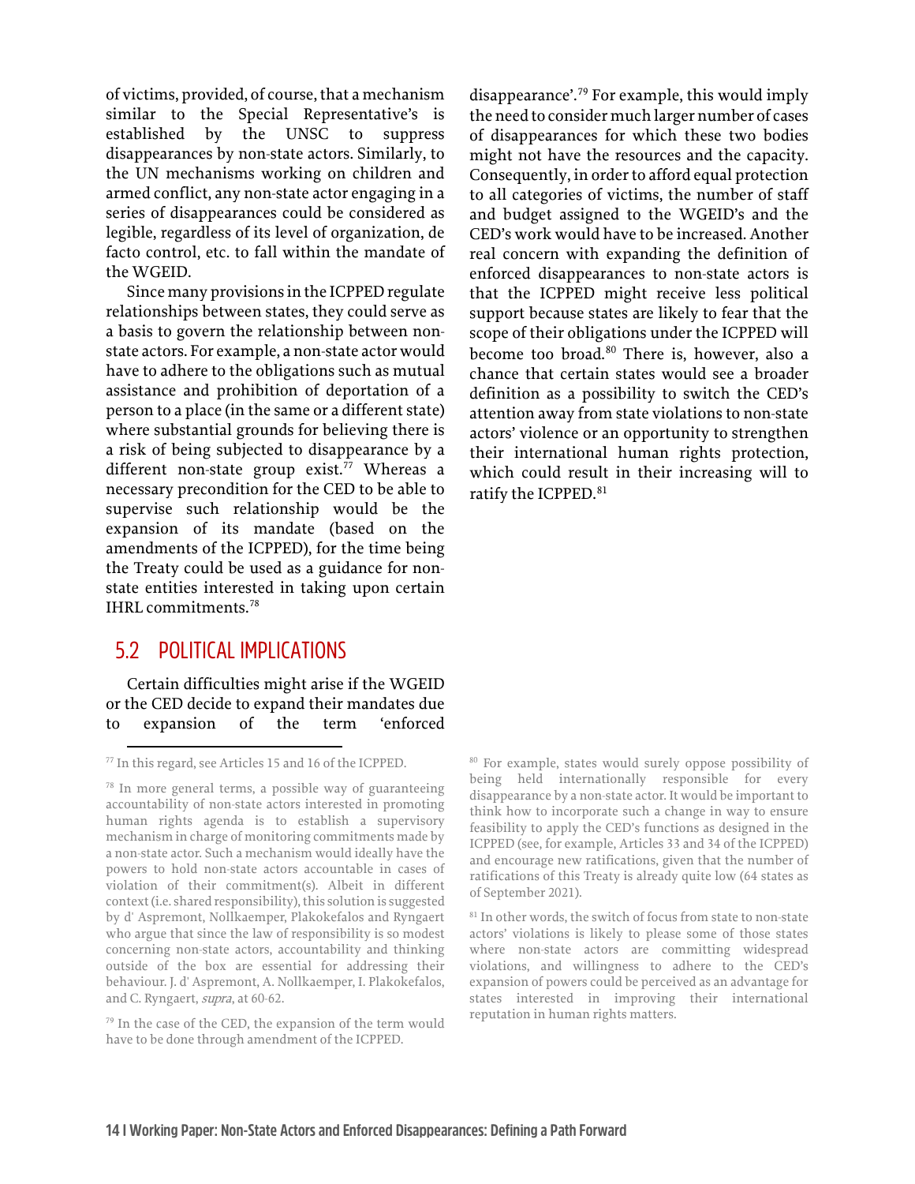of victims, provided, of course, that a mechanism similar to the Special Representative's is established by the UNSC to suppress disappearances by non-state actors. Similarly, to the UN mechanisms working on children and armed conflict, any non-state actor engaging in a series of disappearances could be considered as legible, regardless of its level of organization, de facto control, etc. to fall within the mandate of the WGEID.

Since many provisions in the ICPPED regulate relationships between states, they could serve as a basis to govern the relationship between nonstate actors. For example, a non-state actor would have to adhere to the obligations such as mutual assistance and prohibition of deportation of a person to a place (in the same or a different state) where substantial grounds for believing there is a risk of being subjected to disappearance by a different non-state group exist.<sup>[77](#page-15-1)</sup> Whereas a necessary precondition for the CED to be able to supervise such relationship would be the expansion of its mandate (based on the amendments of the ICPPED), for the time being the Treaty could be used as a guidance for nonstate entities interested in taking upon certain IHRL commitments.[78](#page-15-2) 

#### <span id="page-15-0"></span>5.2 POLITICAL IMPLICATIONS

Certain difficulties might arise if the WGEID or the CED decide to expand their mandates due to expansion of the term 'enforced

<span id="page-15-1"></span><sup>77</sup> In this regard, see Articles 15 and 16 of the ICPPED.

disappearance'.[79](#page-15-3) For example, this would imply the need to consider much larger number of cases of disappearances for which these two bodies might not have the resources and the capacity. Consequently, in order to afford equal protection to all categories of victims, the number of staff and budget assigned to the WGEID's and the CED's work would have to be increased. Another real concern with expanding the definition of enforced disappearances to non-state actors is that the ICPPED might receive less political support because states are likely to fear that the scope of their obligations under the ICPPED will become too broad.<sup>80</sup> There is, however, also a chance that certain states would see a broader definition as a possibility to switch the CED's attention away from state violations to non-state actors' violence or an opportunity to strengthen their international human rights protection, which could result in their increasing will to ratify the ICPPED.<sup>[81](#page-15-4)</sup>

<sup>80</sup> For example, states would surely oppose possibility of being held internationally responsible for every disappearance by a non-state actor. It would be important to think how to incorporate such a change in way to ensure feasibility to apply the CED's functions as designed in the ICPPED (see, for example, Articles 33 and 34 of the ICPPED) and encourage new ratifications, given that the number of ratifications of this Treaty is already quite low (64 states as of September 2021).

<sup>81</sup> In other words, the switch of focus from state to non-state actors' violations is likely to please some of those states where non-state actors are committing widespread violations, and willingness to adhere to the CED's expansion of powers could be perceived as an advantage for states interested in improving their international reputation in human rights matters.

<span id="page-15-2"></span><sup>78</sup> In more general terms, a possible way of guaranteeing accountability of non-state actors interested in promoting human rights agenda is to establish a supervisory mechanism in charge of monitoring commitments made by a non-state actor. Such a mechanism would ideally have the powers to hold non-state actors accountable in cases of violation of their commitment(s). Albeit in different context (i.e. shared responsibility), this solution is suggested by d' Aspremont, Nollkaemper, Plakokefalos and Ryngaert who argue that since the law of responsibility is so modest concerning non-state actors, accountability and thinking outside of the box are essential for addressing their behaviour. J. d' Aspremont, A. Nollkaemper, I. Plakokefalos, and C. Ryngaert, supra, at 60-62.

<span id="page-15-4"></span><span id="page-15-3"></span><sup>79</sup> In the case of the CED, the expansion of the term would have to be done through amendment of the ICPPED.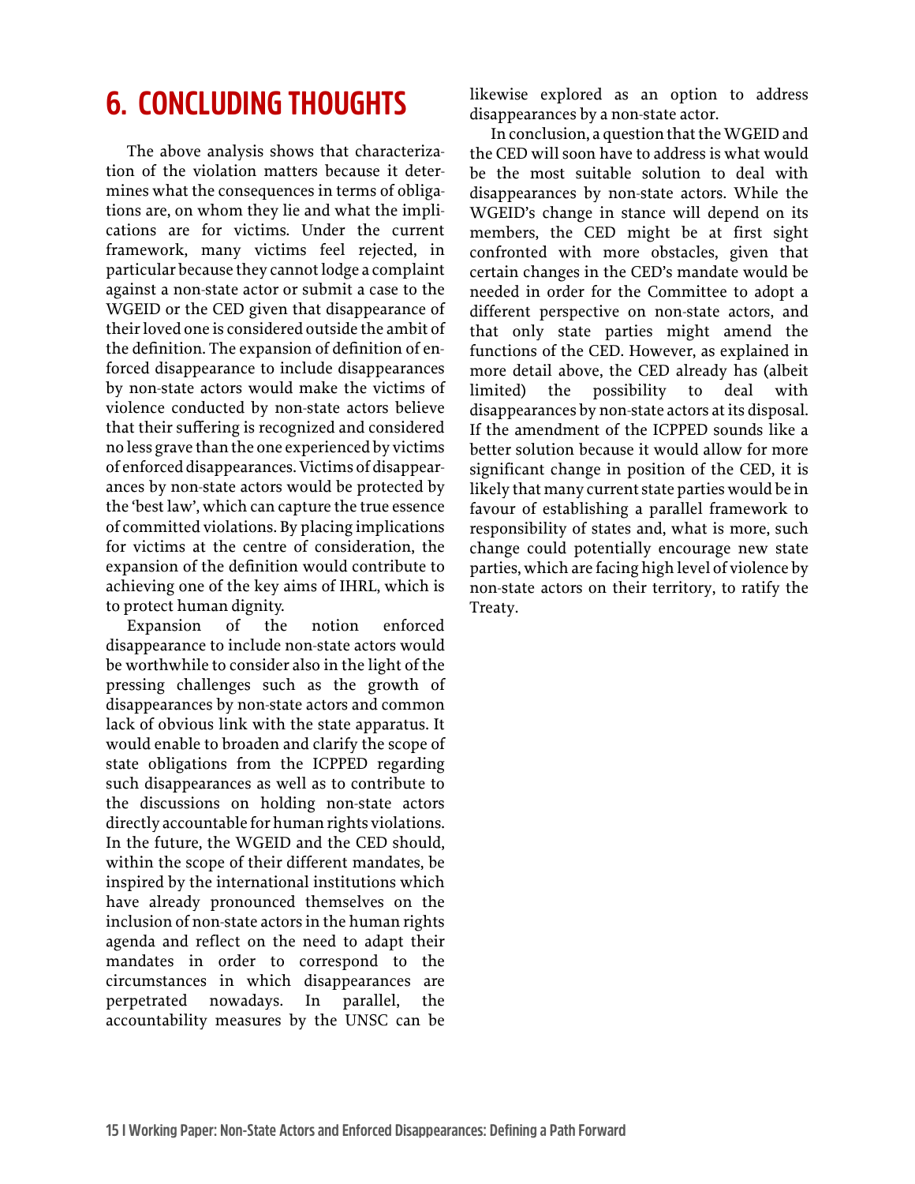## <span id="page-16-0"></span>**6. CONCLUDING THOUGHTS**

The above analysis shows that characterization of the violation matters because it determines what the consequences in terms of obligations are, on whom they lie and what the implications are for victims. Under the current framework, many victims feel rejected, in particular because they cannot lodge a complaint against a non-state actor or submit a case to the WGEID or the CED given that disappearance of their loved one is considered outside the ambit of the definition. The expansion of definition of enforced disappearance to include disappearances by non-state actors would make the victims of violence conducted by non-state actors believe that their suffering is recognized and considered no less grave than the one experienced by victims of enforced disappearances. Victims of disappearances by non-state actors would be protected by the 'best law', which can capture the true essence of committed violations. By placing implications for victims at the centre of consideration, the expansion of the definition would contribute to achieving one of the key aims of IHRL, which is to protect human dignity.

Expansion of the notion enforced disappearance to include non-state actors would be worthwhile to consider also in the light of the pressing challenges such as the growth of disappearances by non-state actors and common lack of obvious link with the state apparatus. It would enable to broaden and clarify the scope of state obligations from the ICPPED regarding such disappearances as well as to contribute to the discussions on holding non-state actors directly accountable for human rights violations. In the future, the WGEID and the CED should, within the scope of their different mandates, be inspired by the international institutions which have already pronounced themselves on the inclusion of non-state actors in the human rights agenda and reflect on the need to adapt their mandates in order to correspond to the circumstances in which disappearances are perpetrated nowadays. In parallel, the accountability measures by the UNSC can be

likewise explored as an option to address disappearances by a non-state actor.

In conclusion, a question that the WGEID and the CED will soon have to address is what would be the most suitable solution to deal with disappearances by non-state actors. While the WGEID's change in stance will depend on its members, the CED might be at first sight confronted with more obstacles, given that certain changes in the CED's mandate would be needed in order for the Committee to adopt a different perspective on non-state actors, and that only state parties might amend the functions of the CED. However, as explained in more detail above, the CED already has (albeit limited) the possibility to deal with disappearances by non-state actors at its disposal. If the amendment of the ICPPED sounds like a better solution because it would allow for more significant change in position of the CED, it is likely that many current state parties would be in favour of establishing a parallel framework to responsibility of states and, what is more, such change could potentially encourage new state parties, which are facing high level of violence by non-state actors on their territory, to ratify the Treaty.